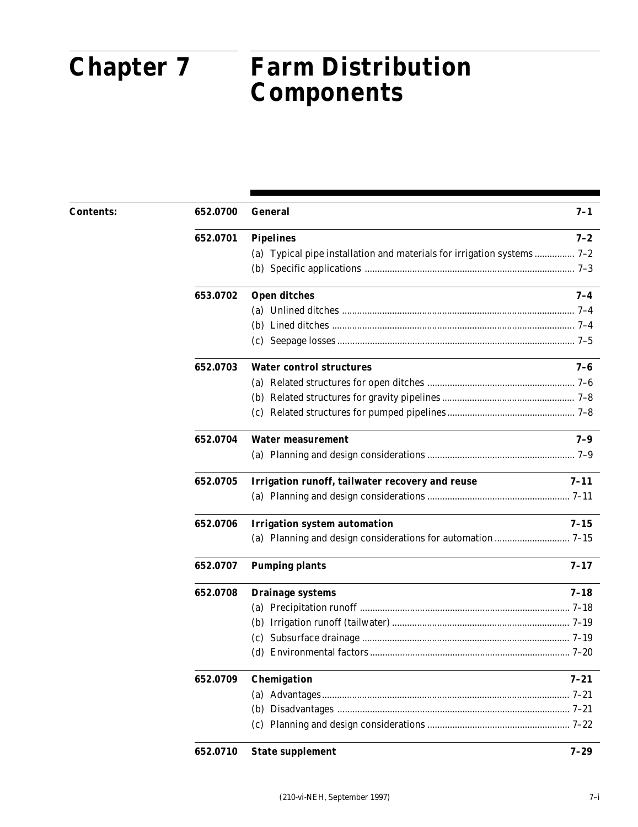### $\bullet$ Irrigation Guide **Chapter 7 Farm Distribution Components**

| <b>Contents:</b> | 652.0700 | <b>General</b>                                                         | $7 - 1$  |
|------------------|----------|------------------------------------------------------------------------|----------|
|                  | 652.0701 | <b>Pipelines</b>                                                       | $7 - 2$  |
|                  |          | (a) Typical pipe installation and materials for irrigation systems 7-2 |          |
|                  |          |                                                                        |          |
|                  | 653.0702 | <b>Open ditches</b>                                                    | $7 - 4$  |
|                  |          |                                                                        |          |
|                  |          |                                                                        |          |
|                  |          |                                                                        |          |
|                  | 652.0703 | <b>Water control structures</b>                                        | $7 - 6$  |
|                  |          |                                                                        |          |
|                  |          |                                                                        |          |
|                  |          |                                                                        |          |
|                  | 652.0704 | <b>Water measurement</b>                                               | $7 - 9$  |
|                  |          |                                                                        |          |
|                  | 652.0705 | Irrigation runoff, tailwater recovery and reuse                        | $7 - 11$ |
|                  |          |                                                                        |          |
|                  | 652.0706 | <b>Irrigation system automation</b>                                    | $7 - 15$ |
|                  |          |                                                                        |          |
|                  | 652.0707 | <b>Pumping plants</b>                                                  | $7 - 17$ |
|                  | 652.0708 | <b>Drainage systems</b>                                                | $7 - 18$ |
|                  |          |                                                                        |          |
|                  |          |                                                                        |          |
|                  |          |                                                                        |          |
|                  |          |                                                                        |          |
|                  | 652.0709 | Chemigation                                                            | $7 - 21$ |
|                  |          |                                                                        |          |
|                  |          |                                                                        |          |
|                  |          |                                                                        |          |
|                  | 652.0710 | <b>State supplement</b>                                                | $7 - 29$ |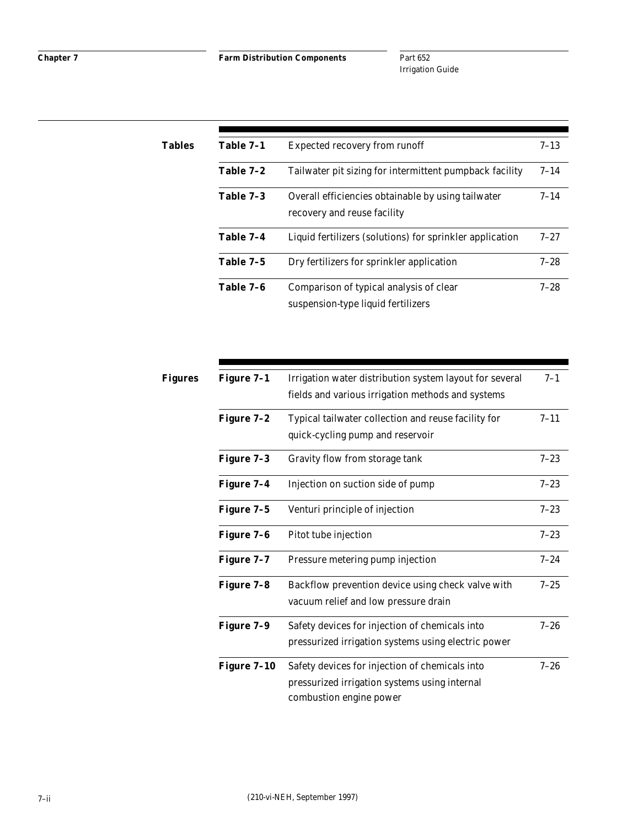| Tables | Table 7-1 | <b>Expected recovery from runoff</b>                                              | $7 - 13$ |
|--------|-----------|-----------------------------------------------------------------------------------|----------|
|        | Table 7-2 | Tailwater pit sizing for intermittent pumpback facility                           | $7 - 14$ |
|        | Table 7-3 | Overall efficiencies obtainable by using tailwater<br>recovery and reuse facility | $7 - 14$ |
|        | Table 7-4 | Liquid fertilizers (solutions) for sprinkler application                          | $7 - 27$ |
|        | Table 7-5 | Dry fertilizers for sprinkler application                                         | $7 - 28$ |
|        | Table 7-6 | Comparison of typical analysis of clear<br>suspension-type liquid fertilizers     | $7 - 28$ |

| Figures | Figure 7-1  | Irrigation water distribution system layout for several | $7 - 1$  |
|---------|-------------|---------------------------------------------------------|----------|
|         |             | fields and various irrigation methods and systems       |          |
|         | Figure 7-2  | Typical tailwater collection and reuse facility for     | $7 - 11$ |
|         |             | quick-cycling pump and reservoir                        |          |
|         | Figure 7-3  | Gravity flow from storage tank                          | $7 - 23$ |
|         | Figure 7-4  | Injection on suction side of pump                       | $7 - 23$ |
|         | Figure 7-5  | Venturi principle of injection                          | $7 - 23$ |
|         | Figure 7-6  | Pitot tube injection                                    | $7 - 23$ |
|         | Figure 7-7  | Pressure metering pump injection                        | $7 - 24$ |
|         | Figure 7-8  | Backflow prevention device using check valve with       | $7 - 25$ |
|         |             | vacuum relief and low pressure drain                    |          |
|         | Figure 7-9  | Safety devices for injection of chemicals into          | $7 - 26$ |
|         |             | pressurized irrigation systems using electric power     |          |
|         | Figure 7-10 | Safety devices for injection of chemicals into          | $7 - 26$ |
|         |             | pressurized irrigation systems using internal           |          |
|         |             | combustion engine power                                 |          |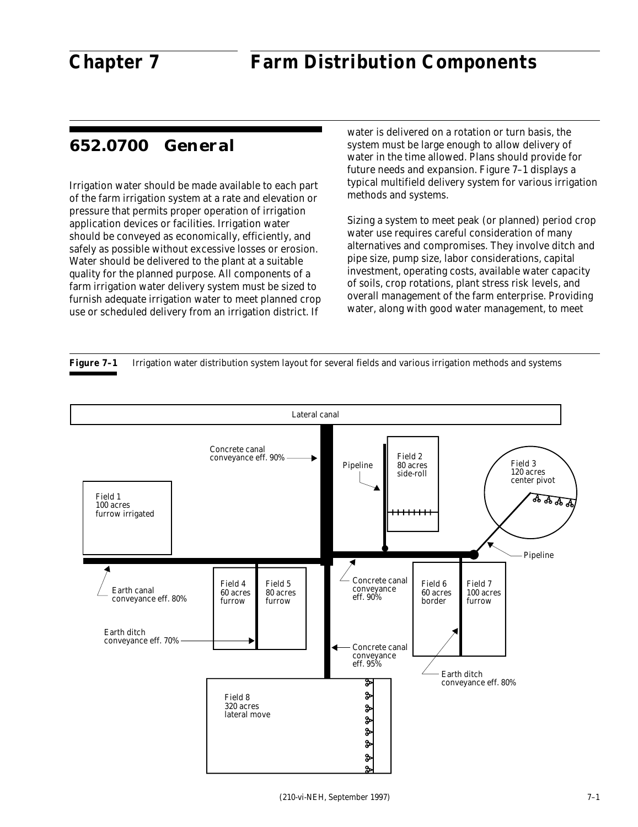# **652.0700 General**

Irrigation water should be made available to each part of the farm irrigation system at a rate and elevation or pressure that permits proper operation of irrigation application devices or facilities. Irrigation water should be conveyed as economically, efficiently, and safely as possible without excessive losses or erosion. Water should be delivered to the plant at a suitable quality for the planned purpose. All components of a farm irrigation water delivery system must be sized to furnish adequate irrigation water to meet planned crop use or scheduled delivery from an irrigation district. If

water is delivered on a rotation or turn basis, the system must be large enough to allow delivery of water in the time allowed. Plans should provide for future needs and expansion. Figure 7–1 displays a typical multifield delivery system for various irrigation methods and systems.

Sizing a system to meet peak (or planned) period crop water use requires careful consideration of many alternatives and compromises. They involve ditch and pipe size, pump size, labor considerations, capital investment, operating costs, available water capacity of soils, crop rotations, plant stress risk levels, and overall management of the farm enterprise. Providing water, along with good water management, to meet

**Figure 7-1** Irrigation water distribution system layout for several fields and various irrigation methods and systems

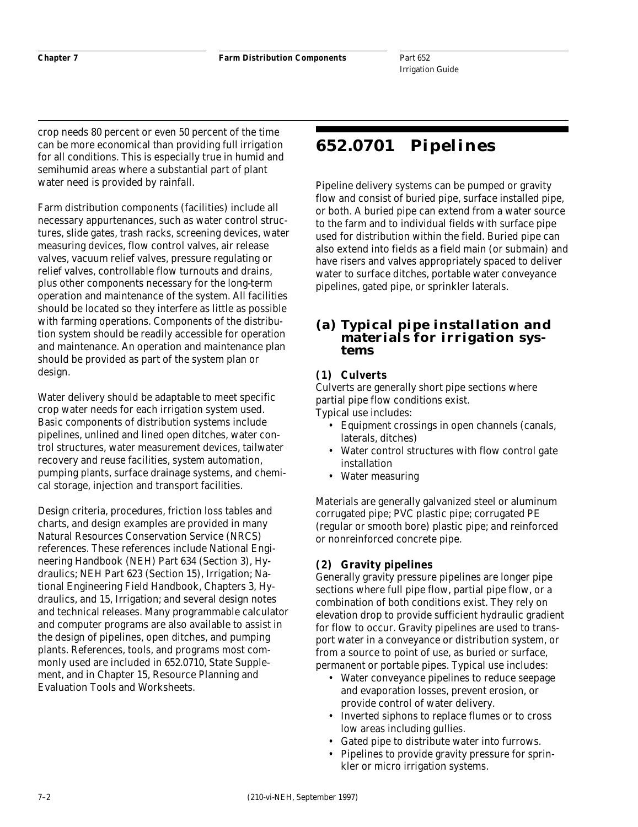crop needs 80 percent or even 50 percent of the time can be more economical than providing full irrigation for all conditions. This is especially true in humid and semihumid areas where a substantial part of plant water need is provided by rainfall.

Farm distribution components (facilities) include all necessary appurtenances, such as water control structures, slide gates, trash racks, screening devices, water measuring devices, flow control valves, air release valves, vacuum relief valves, pressure regulating or relief valves, controllable flow turnouts and drains, plus other components necessary for the long-term operation and maintenance of the system. All facilities should be located so they interfere as little as possible with farming operations. Components of the distribution system should be readily accessible for operation and maintenance. An operation and maintenance plan should be provided as part of the system plan or design.

Water delivery should be adaptable to meet specific crop water needs for each irrigation system used. Basic components of distribution systems include pipelines, unlined and lined open ditches, water control structures, water measurement devices, tailwater recovery and reuse facilities, system automation, pumping plants, surface drainage systems, and chemical storage, injection and transport facilities.

Design criteria, procedures, friction loss tables and charts, and design examples are provided in many Natural Resources Conservation Service (NRCS) references. These references include National Engineering Handbook (NEH) Part 634 (Section 3), Hydraulics; NEH Part 623 (Section 15), Irrigation; National Engineering Field Handbook, Chapters 3, Hydraulics, and 15, Irrigation; and several design notes and technical releases. Many programmable calculator and computer programs are also available to assist in the design of pipelines, open ditches, and pumping plants. References, tools, and programs most commonly used are included in 652.0710, State Supplement, and in Chapter 15, Resource Planning and Evaluation Tools and Worksheets.

# **652.0701 Pipelines**

Pipeline delivery systems can be pumped or gravity flow and consist of buried pipe, surface installed pipe, or both. A buried pipe can extend from a water source to the farm and to individual fields with surface pipe used for distribution within the field. Buried pipe can also extend into fields as a field main (or submain) and have risers and valves appropriately spaced to deliver water to surface ditches, portable water conveyance pipelines, gated pipe, or sprinkler laterals.

### **(a) Typical pipe installation and materials for irrigation systems**

### **(1) Culverts**

Culverts are generally short pipe sections where partial pipe flow conditions exist. Typical use includes:

- Equipment crossings in open channels (canals, laterals, ditches)
- Water control structures with flow control gate installation
- Water measuring

Materials are generally galvanized steel or aluminum corrugated pipe; PVC plastic pipe; corrugated PE (regular or smooth bore) plastic pipe; and reinforced or nonreinforced concrete pipe.

### **(2) Gravity pipelines**

Generally gravity pressure pipelines are longer pipe sections where full pipe flow, partial pipe flow, or a combination of both conditions exist. They rely on elevation drop to provide sufficient hydraulic gradient for flow to occur. Gravity pipelines are used to transport water in a conveyance or distribution system, or from a source to point of use, as buried or surface, permanent or portable pipes. Typical use includes:

- Water conveyance pipelines to reduce seepage and evaporation losses, prevent erosion, or provide control of water delivery.
- Inverted siphons to replace flumes or to cross low areas including gullies.
- Gated pipe to distribute water into furrows.
- Pipelines to provide gravity pressure for sprinkler or micro irrigation systems.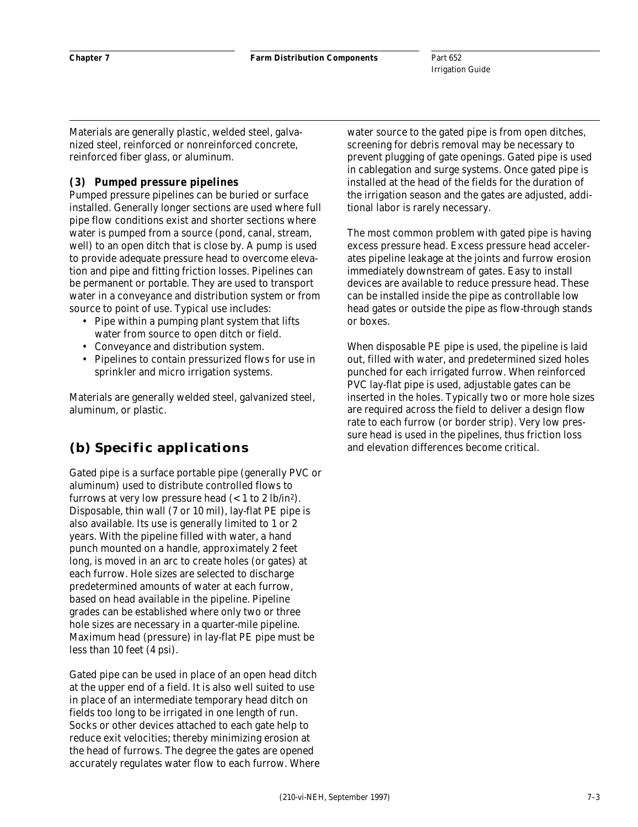Materials are generally plastic, welded steel, galvanized steel, reinforced or nonreinforced concrete, reinforced fiber glass, or aluminum.

#### **(3) Pumped pressure pipelines**

Pumped pressure pipelines can be buried or surface installed. Generally longer sections are used where full pipe flow conditions exist and shorter sections where water is pumped from a source (pond, canal, stream, well) to an open ditch that is close by. A pump is used to provide adequate pressure head to overcome elevation and pipe and fitting friction losses. Pipelines can be permanent or portable. They are used to transport water in a conveyance and distribution system or from source to point of use. Typical use includes:

- Pipe within a pumping plant system that lifts water from source to open ditch or field.
- Conveyance and distribution system.
- Pipelines to contain pressurized flows for use in sprinkler and micro irrigation systems.

Materials are generally welded steel, galvanized steel, aluminum, or plastic.

# **(b) Specific applications**

Gated pipe is a surface portable pipe (generally PVC or aluminum) used to distribute controlled flows to furrows at very low pressure head  $\left($  < 1 to 2 lb/in<sup>2</sup>). Disposable, thin wall (7 or 10 mil), lay-flat PE pipe is also available. Its use is generally limited to 1 or 2 years. With the pipeline filled with water, a hand punch mounted on a handle, approximately 2 feet long, is moved in an arc to create holes (or gates) at each furrow. Hole sizes are selected to discharge predetermined amounts of water at each furrow, based on head available in the pipeline. Pipeline grades can be established where only two or three hole sizes are necessary in a quarter-mile pipeline. Maximum head (pressure) in lay-flat PE pipe must be less than 10 feet (4 psi).

Gated pipe can be used in place of an open head ditch at the upper end of a field. It is also well suited to use in place of an intermediate temporary head ditch on fields too long to be irrigated in one length of run. Socks or other devices attached to each gate help to reduce exit velocities; thereby minimizing erosion at the head of furrows. The degree the gates are opened accurately regulates water flow to each furrow. Where

water source to the gated pipe is from open ditches, screening for debris removal may be necessary to prevent plugging of gate openings. Gated pipe is used in cablegation and surge systems. Once gated pipe is installed at the head of the fields for the duration of the irrigation season and the gates are adjusted, additional labor is rarely necessary.

The most common problem with gated pipe is having excess pressure head. Excess pressure head accelerates pipeline leakage at the joints and furrow erosion immediately downstream of gates. Easy to install devices are available to reduce pressure head. These can be installed inside the pipe as controllable low head gates or outside the pipe as flow-through stands or boxes.

When disposable PE pipe is used, the pipeline is laid out, filled with water, and predetermined sized holes punched for each irrigated furrow. When reinforced PVC lay-flat pipe is used, adjustable gates can be inserted in the holes. Typically two or more hole sizes are required across the field to deliver a design flow rate to each furrow (or border strip). Very low pressure head is used in the pipelines, thus friction loss and elevation differences become critical.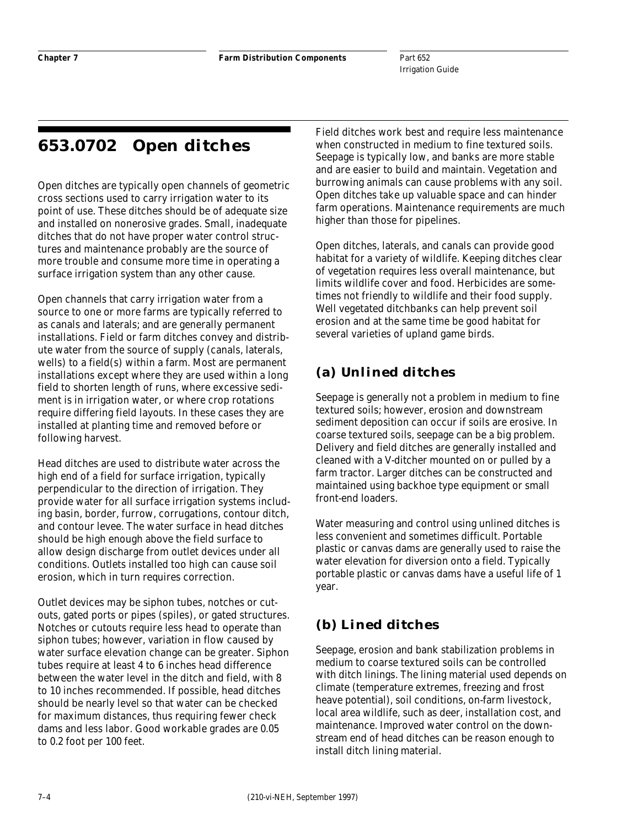# **653.0702 Open ditches**

Open ditches are typically open channels of geometric cross sections used to carry irrigation water to its point of use. These ditches should be of adequate size and installed on nonerosive grades. Small, inadequate ditches that do not have proper water control structures and maintenance probably are the source of more trouble and consume more time in operating a surface irrigation system than any other cause.

Open channels that carry irrigation water from a source to one or more farms are typically referred to as canals and laterals; and are generally permanent installations. Field or farm ditches convey and distribute water from the source of supply (canals, laterals, wells) to a field(s) within a farm. Most are permanent installations except where they are used within a long field to shorten length of runs, where excessive sediment is in irrigation water, or where crop rotations require differing field layouts. In these cases they are installed at planting time and removed before or following harvest.

Head ditches are used to distribute water across the high end of a field for surface irrigation, typically perpendicular to the direction of irrigation. They provide water for all surface irrigation systems including basin, border, furrow, corrugations, contour ditch, and contour levee. The water surface in head ditches should be high enough above the field surface to allow design discharge from outlet devices under all conditions. Outlets installed too high can cause soil erosion, which in turn requires correction.

Outlet devices may be siphon tubes, notches or cutouts, gated ports or pipes (spiles), or gated structures. Notches or cutouts require less head to operate than siphon tubes; however, variation in flow caused by water surface elevation change can be greater. Siphon tubes require at least 4 to 6 inches head difference between the water level in the ditch and field, with 8 to 10 inches recommended. If possible, head ditches should be nearly level so that water can be checked for maximum distances, thus requiring fewer check dams and less labor. Good workable grades are 0.05 to 0.2 foot per 100 feet.

Field ditches work best and require less maintenance when constructed in medium to fine textured soils. Seepage is typically low, and banks are more stable and are easier to build and maintain. Vegetation and burrowing animals can cause problems with any soil. Open ditches take up valuable space and can hinder farm operations. Maintenance requirements are much higher than those for pipelines.

Open ditches, laterals, and canals can provide good habitat for a variety of wildlife. Keeping ditches clear of vegetation requires less overall maintenance, but limits wildlife cover and food. Herbicides are sometimes not friendly to wildlife and their food supply. Well vegetated ditchbanks can help prevent soil erosion and at the same time be good habitat for several varieties of upland game birds.

# **(a) Unlined ditches**

Seepage is generally not a problem in medium to fine textured soils; however, erosion and downstream sediment deposition can occur if soils are erosive. In coarse textured soils, seepage can be a big problem. Delivery and field ditches are generally installed and cleaned with a V-ditcher mounted on or pulled by a farm tractor. Larger ditches can be constructed and maintained using backhoe type equipment or small front-end loaders.

Water measuring and control using unlined ditches is less convenient and sometimes difficult. Portable plastic or canvas dams are generally used to raise the water elevation for diversion onto a field. Typically portable plastic or canvas dams have a useful life of 1 year.

# **(b) Lined ditches**

Seepage, erosion and bank stabilization problems in medium to coarse textured soils can be controlled with ditch linings. The lining material used depends on climate (temperature extremes, freezing and frost heave potential), soil conditions, on-farm livestock, local area wildlife, such as deer, installation cost, and maintenance. Improved water control on the downstream end of head ditches can be reason enough to install ditch lining material.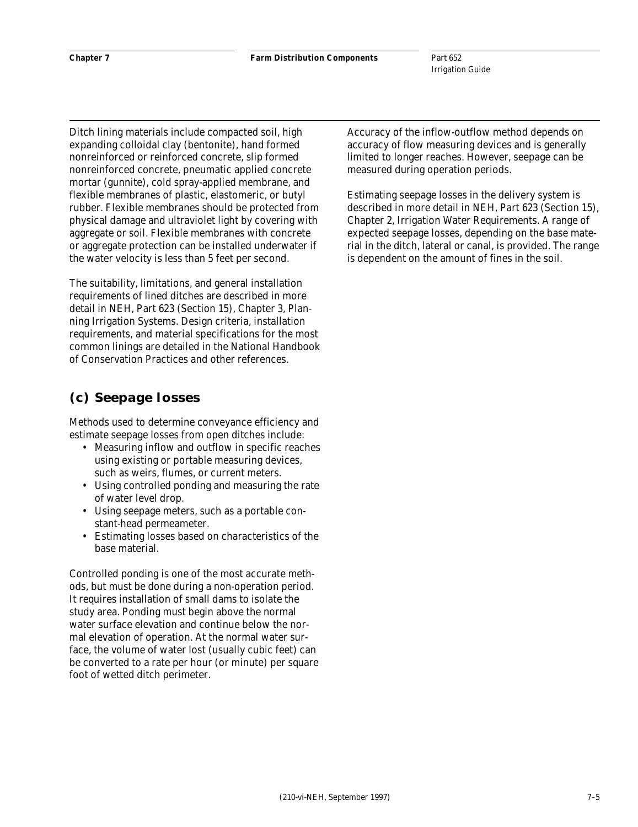Ditch lining materials include compacted soil, high expanding colloidal clay (bentonite), hand formed nonreinforced or reinforced concrete, slip formed nonreinforced concrete, pneumatic applied concrete mortar (gunnite), cold spray-applied membrane, and flexible membranes of plastic, elastomeric, or butyl rubber. Flexible membranes should be protected from physical damage and ultraviolet light by covering with aggregate or soil. Flexible membranes with concrete or aggregate protection can be installed underwater if the water velocity is less than 5 feet per second.

The suitability, limitations, and general installation requirements of lined ditches are described in more detail in NEH, Part 623 (Section 15), Chapter 3, Planning Irrigation Systems. Design criteria, installation requirements, and material specifications for the most common linings are detailed in the National Handbook of Conservation Practices and other references.

### **(c) Seepage losses**

Methods used to determine conveyance efficiency and estimate seepage losses from open ditches include:

- Measuring inflow and outflow in specific reaches using existing or portable measuring devices, such as weirs, flumes, or current meters.
- Using controlled ponding and measuring the rate of water level drop.
- Using seepage meters, such as a portable constant-head permeameter.
- Estimating losses based on characteristics of the base material.

Controlled ponding is one of the most accurate methods, but must be done during a non-operation period. It requires installation of small dams to isolate the study area. Ponding must begin above the normal water surface elevation and continue below the normal elevation of operation. At the normal water surface, the volume of water lost (usually cubic feet) can be converted to a rate per hour (or minute) per square foot of wetted ditch perimeter.

Accuracy of the inflow-outflow method depends on accuracy of flow measuring devices and is generally limited to longer reaches. However, seepage can be measured during operation periods.

Estimating seepage losses in the delivery system is described in more detail in NEH, Part 623 (Section 15), Chapter 2, Irrigation Water Requirements. A range of expected seepage losses, depending on the base material in the ditch, lateral or canal, is provided. The range is dependent on the amount of fines in the soil.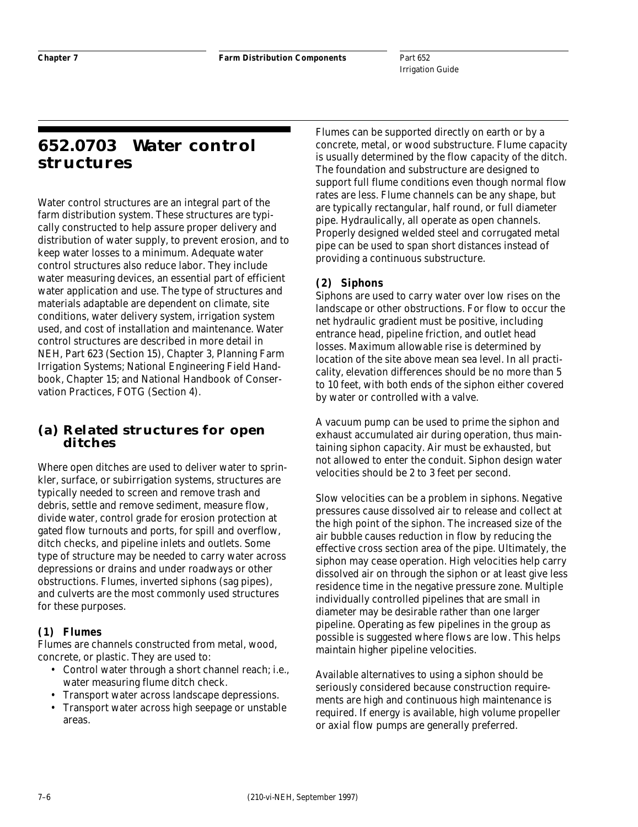# **652.0703 Water control structures**

Water control structures are an integral part of the farm distribution system. These structures are typically constructed to help assure proper delivery and distribution of water supply, to prevent erosion, and to keep water losses to a minimum. Adequate water control structures also reduce labor. They include water measuring devices, an essential part of efficient water application and use. The type of structures and materials adaptable are dependent on climate, site conditions, water delivery system, irrigation system used, and cost of installation and maintenance. Water control structures are described in more detail in NEH, Part 623 (Section 15), Chapter 3, Planning Farm Irrigation Systems; National Engineering Field Handbook, Chapter 15; and National Handbook of Conservation Practices, FOTG (Section 4).

### **(a) Related structures for open ditches**

Where open ditches are used to deliver water to sprinkler, surface, or subirrigation systems, structures are typically needed to screen and remove trash and debris, settle and remove sediment, measure flow, divide water, control grade for erosion protection at gated flow turnouts and ports, for spill and overflow, ditch checks, and pipeline inlets and outlets. Some type of structure may be needed to carry water across depressions or drains and under roadways or other obstructions. Flumes, inverted siphons (sag pipes), and culverts are the most commonly used structures for these purposes.

#### **(1) Flumes**

Flumes are channels constructed from metal, wood, concrete, or plastic. They are used to:

- Control water through a short channel reach; i.e., water measuring flume ditch check.
- Transport water across landscape depressions.
- Transport water across high seepage or unstable areas.

Flumes can be supported directly on earth or by a concrete, metal, or wood substructure. Flume capacity is usually determined by the flow capacity of the ditch. The foundation and substructure are designed to support full flume conditions even though normal flow rates are less. Flume channels can be any shape, but are typically rectangular, half round, or full diameter pipe. Hydraulically, all operate as open channels. Properly designed welded steel and corrugated metal pipe can be used to span short distances instead of providing a continuous substructure.

### **(2) Siphons**

Siphons are used to carry water over low rises on the landscape or other obstructions. For flow to occur the net hydraulic gradient must be positive, including entrance head, pipeline friction, and outlet head losses. Maximum allowable rise is determined by location of the site above mean sea level. In all practicality, elevation differences should be no more than 5 to 10 feet, with both ends of the siphon either covered by water or controlled with a valve.

A vacuum pump can be used to prime the siphon and exhaust accumulated air during operation, thus maintaining siphon capacity. Air must be exhausted, but not allowed to enter the conduit. Siphon design water velocities should be 2 to 3 feet per second.

Slow velocities can be a problem in siphons. Negative pressures cause dissolved air to release and collect at the high point of the siphon. The increased size of the air bubble causes reduction in flow by reducing the effective cross section area of the pipe. Ultimately, the siphon may cease operation. High velocities help carry dissolved air on through the siphon or at least give less residence time in the negative pressure zone. Multiple individually controlled pipelines that are small in diameter may be desirable rather than one larger pipeline. Operating as few pipelines in the group as possible is suggested where flows are low. This helps maintain higher pipeline velocities.

Available alternatives to using a siphon should be seriously considered because construction requirements are high and continuous high maintenance is required. If energy is available, high volume propeller or axial flow pumps are generally preferred.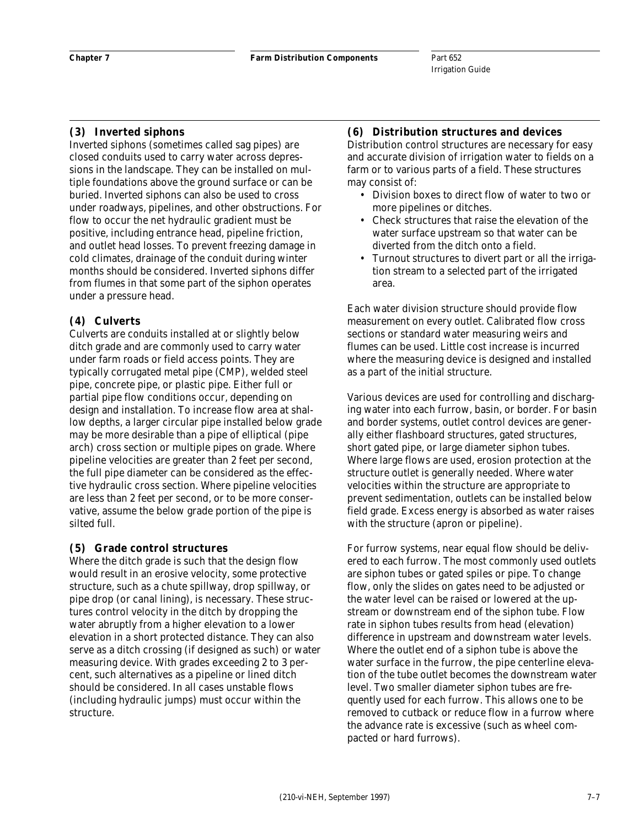#### **(3) Inverted siphons**

Inverted siphons (sometimes called sag pipes) are closed conduits used to carry water across depressions in the landscape. They can be installed on multiple foundations above the ground surface or can be buried. Inverted siphons can also be used to cross under roadways, pipelines, and other obstructions. For flow to occur the net hydraulic gradient must be positive, including entrance head, pipeline friction, and outlet head losses. To prevent freezing damage in cold climates, drainage of the conduit during winter months should be considered. Inverted siphons differ from flumes in that some part of the siphon operates under a pressure head.

#### **(4) Culverts**

Culverts are conduits installed at or slightly below ditch grade and are commonly used to carry water under farm roads or field access points. They are typically corrugated metal pipe (CMP), welded steel pipe, concrete pipe, or plastic pipe. Either full or partial pipe flow conditions occur, depending on design and installation. To increase flow area at shallow depths, a larger circular pipe installed below grade may be more desirable than a pipe of elliptical (pipe arch) cross section or multiple pipes on grade. Where pipeline velocities are greater than 2 feet per second, the full pipe diameter can be considered as the effective hydraulic cross section. Where pipeline velocities are less than 2 feet per second, or to be more conservative, assume the below grade portion of the pipe is silted full.

#### **(5) Grade control structures**

Where the ditch grade is such that the design flow would result in an erosive velocity, some protective structure, such as a chute spillway, drop spillway, or pipe drop (or canal lining), is necessary. These structures control velocity in the ditch by dropping the water abruptly from a higher elevation to a lower elevation in a short protected distance. They can also serve as a ditch crossing (if designed as such) or water measuring device. With grades exceeding 2 to 3 percent, such alternatives as a pipeline or lined ditch should be considered. In all cases unstable flows (including hydraulic jumps) must occur within the structure.

#### **(6) Distribution structures and devices**

Distribution control structures are necessary for easy and accurate division of irrigation water to fields on a farm or to various parts of a field. These structures may consist of:

- Division boxes to direct flow of water to two or more pipelines or ditches.
- Check structures that raise the elevation of the water surface upstream so that water can be diverted from the ditch onto a field.
- Turnout structures to divert part or all the irrigation stream to a selected part of the irrigated area.

Each water division structure should provide flow measurement on every outlet. Calibrated flow cross sections or standard water measuring weirs and flumes can be used. Little cost increase is incurred where the measuring device is designed and installed as a part of the initial structure.

Various devices are used for controlling and discharging water into each furrow, basin, or border. For basin and border systems, outlet control devices are generally either flashboard structures, gated structures, short gated pipe, or large diameter siphon tubes. Where large flows are used, erosion protection at the structure outlet is generally needed. Where water velocities within the structure are appropriate to prevent sedimentation, outlets can be installed below field grade. Excess energy is absorbed as water raises with the structure (apron or pipeline).

For furrow systems, near equal flow should be delivered to each furrow. The most commonly used outlets are siphon tubes or gated spiles or pipe. To change flow, only the slides on gates need to be adjusted or the water level can be raised or lowered at the upstream or downstream end of the siphon tube. Flow rate in siphon tubes results from head (elevation) difference in upstream and downstream water levels. Where the outlet end of a siphon tube is above the water surface in the furrow, the pipe centerline elevation of the tube outlet becomes the downstream water level. Two smaller diameter siphon tubes are frequently used for each furrow. This allows one to be removed to cutback or reduce flow in a furrow where the advance rate is excessive (such as wheel compacted or hard furrows).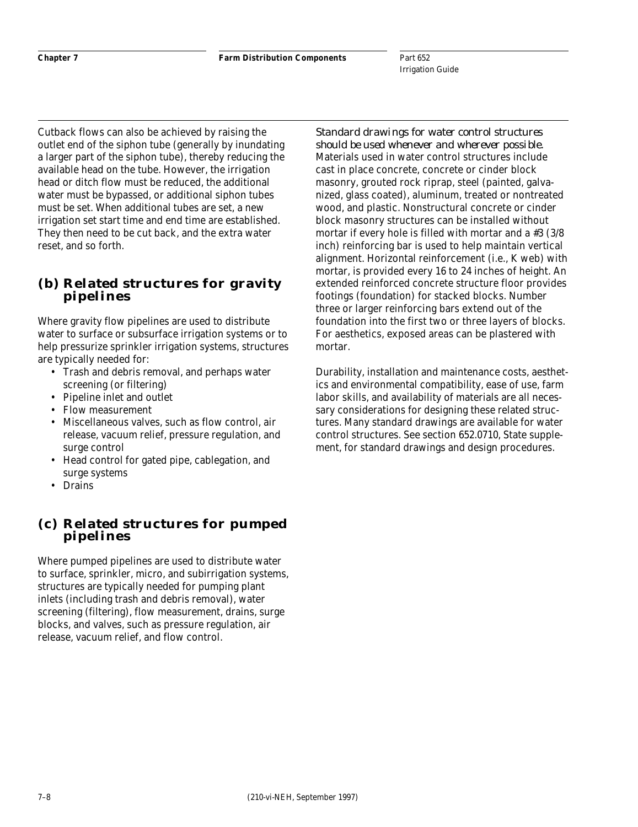Cutback flows can also be achieved by raising the outlet end of the siphon tube (generally by inundating a larger part of the siphon tube), thereby reducing the available head on the tube. However, the irrigation head or ditch flow must be reduced, the additional water must be bypassed, or additional siphon tubes must be set. When additional tubes are set, a new irrigation set start time and end time are established. They then need to be cut back, and the extra water reset, and so forth.

### **(b) Related structures for gravity pipelines**

Where gravity flow pipelines are used to distribute water to surface or subsurface irrigation systems or to help pressurize sprinkler irrigation systems, structures are typically needed for:

- Trash and debris removal, and perhaps water screening (or filtering)
- Pipeline inlet and outlet
- Flow measurement
- Miscellaneous valves, such as flow control, air release, vacuum relief, pressure regulation, and surge control
- Head control for gated pipe, cablegation, and surge systems
- **Drains**

### **(c) Related structures for pumped pipelines**

Where pumped pipelines are used to distribute water to surface, sprinkler, micro, and subirrigation systems, structures are typically needed for pumping plant inlets (including trash and debris removal), water screening (filtering), flow measurement, drains, surge blocks, and valves, such as pressure regulation, air release, vacuum relief, and flow control.

*Standard drawings for water control structures should be used whenever and wherever possible.* Materials used in water control structures include cast in place concrete, concrete or cinder block masonry, grouted rock riprap, steel (painted, galvanized, glass coated), aluminum, treated or nontreated wood, and plastic. Nonstructural concrete or cinder block masonry structures can be installed without mortar if every hole is filled with mortar and a #3 (3/8 inch) reinforcing bar is used to help maintain vertical alignment. Horizontal reinforcement (i.e., K web) with mortar, is provided every 16 to 24 inches of height. An extended reinforced concrete structure floor provides footings (foundation) for stacked blocks. Number three or larger reinforcing bars extend out of the foundation into the first two or three layers of blocks. For aesthetics, exposed areas can be plastered with mortar.

Durability, installation and maintenance costs, aesthetics and environmental compatibility, ease of use, farm labor skills, and availability of materials are all necessary considerations for designing these related structures. Many standard drawings are available for water control structures. See section 652.0710, State supplement, for standard drawings and design procedures.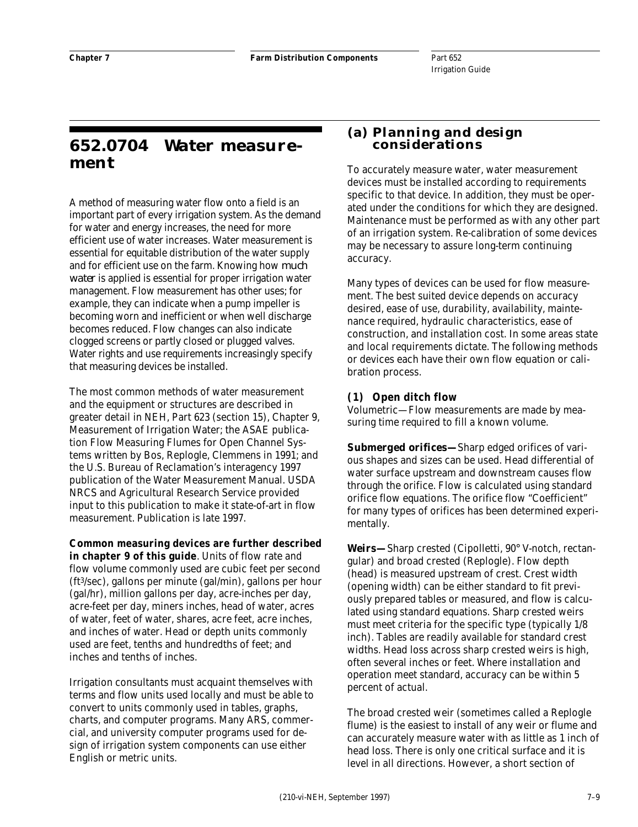# **652.0704 Water measurement**

A method of measuring water flow onto a field is an important part of every irrigation system. As the demand for water and energy increases, the need for more efficient use of water increases. Water measurement is essential for equitable distribution of the water supply and for efficient use on the farm. Knowing how *much water* is applied is essential for proper irrigation water management. Flow measurement has other uses; for example, they can indicate when a pump impeller is becoming worn and inefficient or when well discharge becomes reduced. Flow changes can also indicate clogged screens or partly closed or plugged valves. Water rights and use requirements increasingly specify that measuring devices be installed.

The most common methods of water measurement and the equipment or structures are described in greater detail in NEH, Part 623 (section 15), Chapter 9, Measurement of Irrigation Water; the ASAE publication Flow Measuring Flumes for Open Channel Systems written by Bos, Replogle, Clemmens in 1991; and the U.S. Bureau of Reclamation's interagency 1997 publication of the Water Measurement Manual. USDA NRCS and Agricultural Research Service provided input to this publication to make it state-of-art in flow measurement. Publication is late 1997.

**Common measuring devices are further described in chapter 9 of this guide**. Units of flow rate and flow volume commonly used are cubic feet per second (ft3/sec), gallons per minute (gal/min), gallons per hour (gal/hr), million gallons per day, acre-inches per day, acre-feet per day, miners inches, head of water, acres of water, feet of water, shares, acre feet, acre inches, and inches of water. Head or depth units commonly used are feet, tenths and hundredths of feet; and inches and tenths of inches.

Irrigation consultants must acquaint themselves with terms and flow units used locally and must be able to convert to units commonly used in tables, graphs, charts, and computer programs. Many ARS, commercial, and university computer programs used for design of irrigation system components can use either English or metric units.

### **(a) Planning and design considerations**

To accurately measure water, water measurement devices must be installed according to requirements specific to that device. In addition, they must be operated under the conditions for which they are designed. Maintenance must be performed as with any other part of an irrigation system. Re-calibration of some devices may be necessary to assure long-term continuing accuracy.

Many types of devices can be used for flow measurement. The best suited device depends on accuracy desired, ease of use, durability, availability, maintenance required, hydraulic characteristics, ease of construction, and installation cost. In some areas state and local requirements dictate. The following methods or devices each have their own flow equation or calibration process.

### **(1) Open ditch flow**

Volumetric—Flow measurements are made by measuring time required to fill a known volume.

*Submerged orifices—*Sharp edged orifices of various shapes and sizes can be used. Head differential of water surface upstream and downstream causes flow through the orifice. Flow is calculated using standard orifice flow equations. The orifice flow "Coefficient" for many types of orifices has been determined experimentally.

*Weirs—*Sharp crested (Cipolletti, 90° V-notch, rectangular) and broad crested (Replogle). Flow depth (head) is measured upstream of crest. Crest width (opening width) can be either standard to fit previously prepared tables or measured, and flow is calculated using standard equations. Sharp crested weirs must meet criteria for the specific type (typically 1/8 inch). Tables are readily available for standard crest widths. Head loss across sharp crested weirs is high, often several inches or feet. Where installation and operation meet standard, accuracy can be within 5 percent of actual.

The broad crested weir (sometimes called a Replogle flume) is the easiest to install of any weir or flume and can accurately measure water with as little as 1 inch of head loss. There is only one critical surface and it is level in all directions. However, a short section of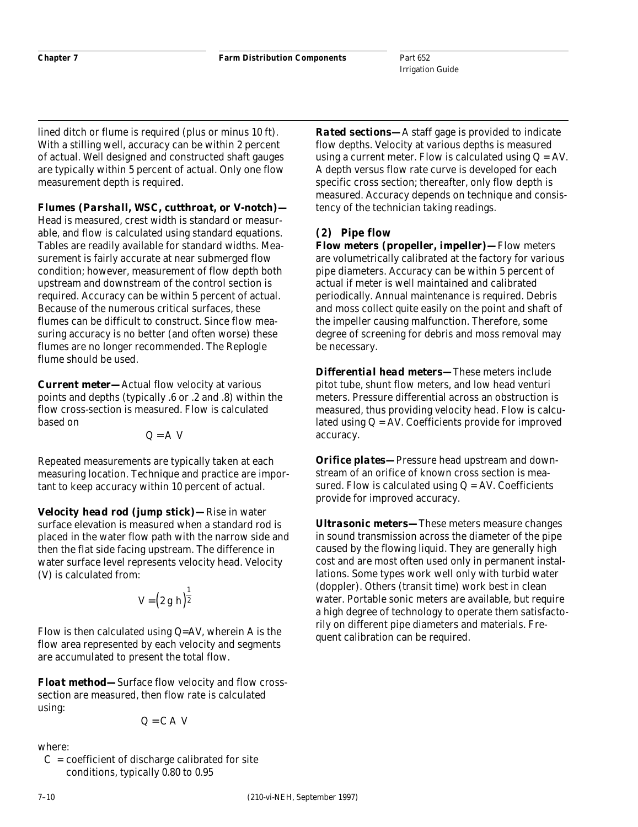lined ditch or flume is required (plus or minus 10 ft). With a stilling well, accuracy can be within 2 percent of actual. Well designed and constructed shaft gauges are typically within 5 percent of actual. Only one flow measurement depth is required.

*Flumes (Parshall, WSC, cutthroat, or V-notch)—* Head is measured, crest width is standard or measurable, and flow is calculated using standard equations. Tables are readily available for standard widths. Measurement is fairly accurate at near submerged flow condition; however, measurement of flow depth both upstream and downstream of the control section is required. Accuracy can be within 5 percent of actual. Because of the numerous critical surfaces, these flumes can be difficult to construct. Since flow measuring accuracy is no better (and often worse) these flumes are no longer recommended. The Replogle flume should be used.

*Current meter—*Actual flow velocity at various points and depths (typically .6 or .2 and .8) within the flow cross-section is measured. Flow is calculated based on

$$
Q = A V
$$

Repeated measurements are typically taken at each measuring location. Technique and practice are important to keep accuracy within 10 percent of actual.

*Velocity head rod (jump stick)—*Rise in water surface elevation is measured when a standard rod is placed in the water flow path with the narrow side and then the flat side facing upstream. The difference in water surface level represents velocity head. Velocity (V) is calculated from:

$$
V=\left(2\;g\;h\right)^{\tfrac{1}{2}}
$$

Flow is then calculated using Q=AV, wherein A is the flow area represented by each velocity and segments are accumulated to present the total flow.

*Float method—*Surface flow velocity and flow crosssection are measured, then flow rate is calculated using:

$$
Q = C A V
$$

where:

 $C =$  coefficient of discharge calibrated for site conditions, typically 0.80 to 0.95

*Rated sections—*A staff gage is provided to indicate flow depths. Velocity at various depths is measured using a current meter. Flow is calculated using  $Q = AV$ . A depth versus flow rate curve is developed for each specific cross section; thereafter, only flow depth is measured. Accuracy depends on technique and consistency of the technician taking readings.

### **(2) Pipe flow**

*Flow meters (propeller, impeller)—*Flow meters are volumetrically calibrated at the factory for various pipe diameters. Accuracy can be within 5 percent of actual if meter is well maintained and calibrated periodically. Annual maintenance is required. Debris and moss collect quite easily on the point and shaft of the impeller causing malfunction. Therefore, some degree of screening for debris and moss removal may be necessary.

*Differential head meters—*These meters include pitot tube, shunt flow meters, and low head venturi meters. Pressure differential across an obstruction is measured, thus providing velocity head. Flow is calculated using  $Q = AV$ . Coefficients provide for improved accuracy.

*Orifice plates—*Pressure head upstream and downstream of an orifice of known cross section is measured. Flow is calculated using  $Q = AV$ . Coefficients provide for improved accuracy.

*Ultrasonic meters—*These meters measure changes in sound transmission across the diameter of the pipe caused by the flowing liquid. They are generally high cost and are most often used only in permanent installations. Some types work well only with turbid water (doppler). Others (transit time) work best in clean water. Portable sonic meters are available, but require a high degree of technology to operate them satisfactorily on different pipe diameters and materials. Frequent calibration can be required.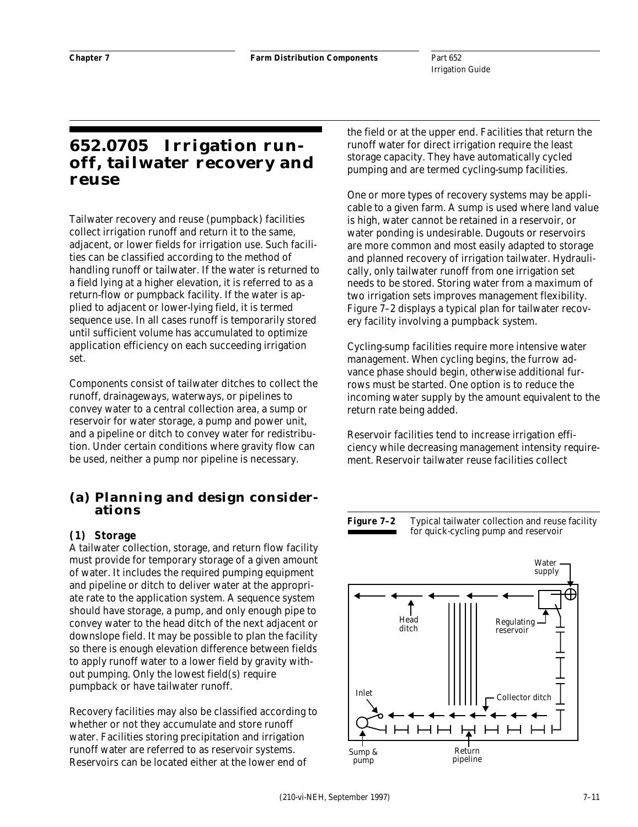# **652.0705 Irrigation runoff, tailwater recovery and reuse**

Tailwater recovery and reuse (pumpback) facilities collect irrigation runoff and return it to the same, adjacent, or lower fields for irrigation use. Such facilities can be classified according to the method of handling runoff or tailwater. If the water is returned to a field lying at a higher elevation, it is referred to as a return-flow or pumpback facility. If the water is applied to adjacent or lower-lying field, it is termed sequence use. In all cases runoff is temporarily stored until sufficient volume has accumulated to optimize application efficiency on each succeeding irrigation set.

Components consist of tailwater ditches to collect the runoff, drainageways, waterways, or pipelines to convey water to a central collection area, a sump or reservoir for water storage, a pump and power unit, and a pipeline or ditch to convey water for redistribution. Under certain conditions where gravity flow can be used, neither a pump nor pipeline is necessary.

### **(a) Planning and design considerations**

### **(1) Storage**

A tailwater collection, storage, and return flow facility must provide for temporary storage of a given amount of water. It includes the required pumping equipment and pipeline or ditch to deliver water at the appropriate rate to the application system. A sequence system should have storage, a pump, and only enough pipe to convey water to the head ditch of the next adjacent or downslope field. It may be possible to plan the facility so there is enough elevation difference between fields to apply runoff water to a lower field by gravity without pumping. Only the lowest field(s) require pumpback or have tailwater runoff.

Recovery facilities may also be classified according to whether or not they accumulate and store runoff water. Facilities storing precipitation and irrigation runoff water are referred to as reservoir systems. Reservoirs can be located either at the lower end of

the field or at the upper end. Facilities that return the runoff water for direct irrigation require the least storage capacity. They have automatically cycled pumping and are termed cycling-sump facilities.

One or more types of recovery systems may be applicable to a given farm. A sump is used where land value is high, water cannot be retained in a reservoir, or water ponding is undesirable. Dugouts or reservoirs are more common and most easily adapted to storage and planned recovery of irrigation tailwater. Hydraulically, only tailwater runoff from one irrigation set needs to be stored. Storing water from a maximum of two irrigation sets improves management flexibility. Figure 7–2 displays a typical plan for tailwater recovery facility involving a pumpback system.

Cycling-sump facilities require more intensive water management. When cycling begins, the furrow advance phase should begin, otherwise additional furrows must be started. One option is to reduce the incoming water supply by the amount equivalent to the return rate being added.

Reservoir facilities tend to increase irrigation efficiency while decreasing management intensity requirement. Reservoir tailwater reuse facilities collect

#### **Figure 7–2** Typical tailwater collection and reuse facility for quick-cycling pump and reservoir

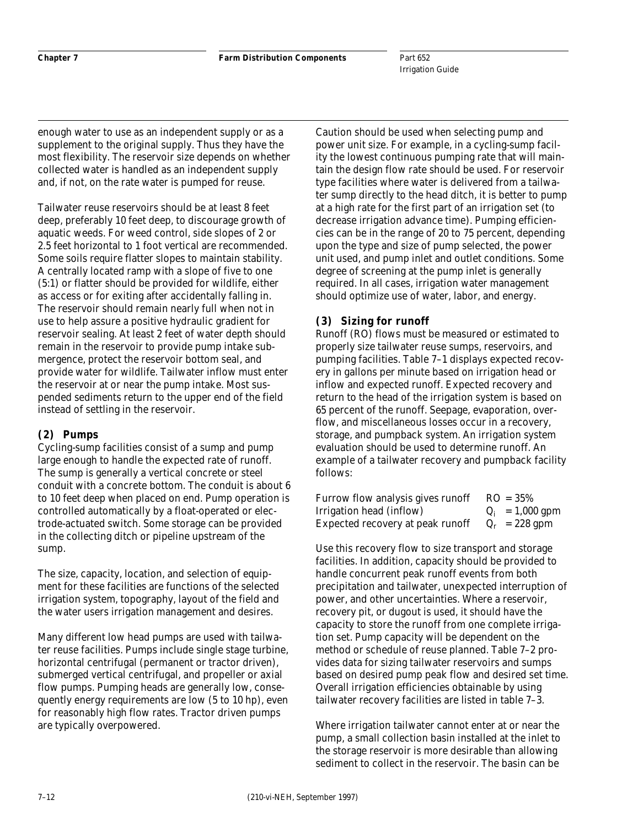enough water to use as an independent supply or as a supplement to the original supply. Thus they have the most flexibility. The reservoir size depends on whether collected water is handled as an independent supply and, if not, on the rate water is pumped for reuse.

Tailwater reuse reservoirs should be at least 8 feet deep, preferably 10 feet deep, to discourage growth of aquatic weeds. For weed control, side slopes of 2 or 2.5 feet horizontal to 1 foot vertical are recommended. Some soils require flatter slopes to maintain stability. A centrally located ramp with a slope of five to one (5:1) or flatter should be provided for wildlife, either as access or for exiting after accidentally falling in. The reservoir should remain nearly full when not in use to help assure a positive hydraulic gradient for reservoir sealing. At least 2 feet of water depth should remain in the reservoir to provide pump intake submergence, protect the reservoir bottom seal, and provide water for wildlife. Tailwater inflow must enter the reservoir at or near the pump intake. Most suspended sediments return to the upper end of the field instead of settling in the reservoir.

### **(2) Pumps**

Cycling-sump facilities consist of a sump and pump large enough to handle the expected rate of runoff. The sump is generally a vertical concrete or steel conduit with a concrete bottom. The conduit is about 6 to 10 feet deep when placed on end. Pump operation is controlled automatically by a float-operated or electrode-actuated switch. Some storage can be provided in the collecting ditch or pipeline upstream of the sump.

The size, capacity, location, and selection of equipment for these facilities are functions of the selected irrigation system, topography, layout of the field and the water users irrigation management and desires.

Many different low head pumps are used with tailwater reuse facilities. Pumps include single stage turbine, horizontal centrifugal (permanent or tractor driven), submerged vertical centrifugal, and propeller or axial flow pumps. Pumping heads are generally low, consequently energy requirements are low (5 to 10 hp), even for reasonably high flow rates. Tractor driven pumps are typically overpowered.

Caution should be used when selecting pump and power unit size. For example, in a cycling-sump facility the lowest continuous pumping rate that will maintain the design flow rate should be used. For reservoir type facilities where water is delivered from a tailwater sump directly to the head ditch, it is better to pump at a high rate for the first part of an irrigation set (to decrease irrigation advance time). Pumping efficiencies can be in the range of 20 to 75 percent, depending upon the type and size of pump selected, the power unit used, and pump inlet and outlet conditions. Some degree of screening at the pump inlet is generally required. In all cases, irrigation water management should optimize use of water, labor, and energy.

### **(3) Sizing for runoff**

Runoff (RO) flows must be measured or estimated to properly size tailwater reuse sumps, reservoirs, and pumping facilities. Table 7–1 displays expected recovery in gallons per minute based on irrigation head or inflow and expected runoff. Expected recovery and return to the head of the irrigation system is based on 65 percent of the runoff. Seepage, evaporation, overflow, and miscellaneous losses occur in a recovery, storage, and pumpback system. An irrigation system evaluation should be used to determine runoff. An example of a tailwater recovery and pumpback facility follows:

| Furrow flow analysis gives runoff | $RO = 35%$        |
|-----------------------------------|-------------------|
| Irrigation head (inflow)          | $Q_i = 1,000$ gpm |
| Expected recovery at peak runoff  | $Q_r = 228$ gpm   |

Use this recovery flow to size transport and storage facilities. In addition, capacity should be provided to handle concurrent peak runoff events from both precipitation and tailwater, unexpected interruption of power, and other uncertainties. Where a reservoir, recovery pit, or dugout is used, it should have the capacity to store the runoff from one complete irrigation set. Pump capacity will be dependent on the method or schedule of reuse planned. Table 7–2 provides data for sizing tailwater reservoirs and sumps based on desired pump peak flow and desired set time. Overall irrigation efficiencies obtainable by using tailwater recovery facilities are listed in table 7–3.

Where irrigation tailwater cannot enter at or near the pump, a small collection basin installed at the inlet to the storage reservoir is more desirable than allowing sediment to collect in the reservoir. The basin can be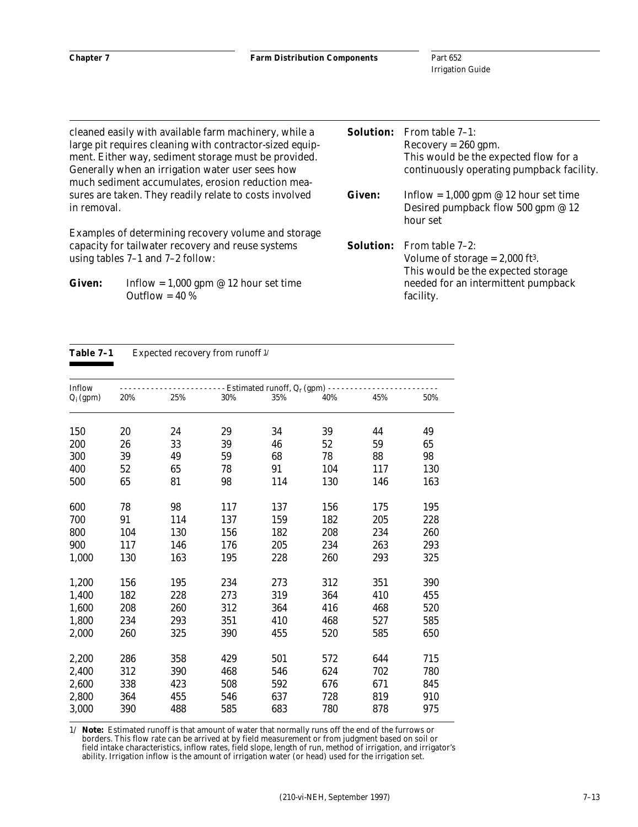|               | cleaned easily with available farm machinery, while a    | <b>Solution:</b> | From table 7-1:                               |
|---------------|----------------------------------------------------------|------------------|-----------------------------------------------|
|               | large pit requires cleaning with contractor-sized equip- |                  | $Recovery = 260$ gpm.                         |
|               | ment. Either way, sediment storage must be provided.     |                  | This would be the expected flow for a         |
|               | Generally when an irrigation water user sees how         |                  | continuously operating pumpback facility.     |
|               | much sediment accumulates, erosion reduction mea-        |                  |                                               |
|               | sures are taken. They readily relate to costs involved   | <b>Given:</b>    | Inflow = $1,000$ gpm @ 12 hour set time       |
| in removal.   |                                                          |                  | Desired pumpback flow 500 gpm @ 12            |
|               |                                                          |                  | hour set                                      |
|               | Examples of determining recovery volume and storage      |                  |                                               |
|               | capacity for tailwater recovery and reuse systems        | <b>Solution:</b> | From table 7–2:                               |
|               | using tables $7-1$ and $7-2$ follow:                     |                  | Volume of storage $= 2,000$ ft <sup>3</sup> . |
|               |                                                          |                  | This would be the expected storage            |
| <b>Given:</b> | Inflow = $1,000$ gpm @ 12 hour set time                  |                  | needed for an intermittent pumpback           |
|               | Outflow = $40\%$                                         |                  | facility.                                     |

#### Table 7-1 Expected recovery from runoff  $\mathcal{V}$

| Inflow      | - - - - - - - Estimated runoff, Q <sub>r</sub> (gpm) - |     |     |     |     |     |     |
|-------------|--------------------------------------------------------|-----|-----|-----|-----|-----|-----|
| $Q_i$ (gpm) | 20%                                                    | 25% | 30% | 35% | 40% | 45% | 50% |
| 150         | 20                                                     | 24  | 29  | 34  | 39  | 44  | 49  |
| 200         | 26                                                     | 33  | 39  | 46  | 52  | 59  | 65  |
| 300         | 39                                                     | 49  | 59  | 68  | 78  | 88  | 98  |
| 400         | 52                                                     | 65  | 78  | 91  | 104 | 117 | 130 |
| 500         | 65                                                     | 81  | 98  | 114 | 130 | 146 | 163 |
| 600         | 78                                                     | 98  | 117 | 137 | 156 | 175 | 195 |
| 700         | 91                                                     | 114 | 137 | 159 | 182 | 205 | 228 |
| 800         | 104                                                    | 130 | 156 | 182 | 208 | 234 | 260 |
| 900         | 117                                                    | 146 | 176 | 205 | 234 | 263 | 293 |
| 1,000       | 130                                                    | 163 | 195 | 228 | 260 | 293 | 325 |
| 1,200       | 156                                                    | 195 | 234 | 273 | 312 | 351 | 390 |
| 1,400       | 182                                                    | 228 | 273 | 319 | 364 | 410 | 455 |
| 1,600       | 208                                                    | 260 | 312 | 364 | 416 | 468 | 520 |
| 1,800       | 234                                                    | 293 | 351 | 410 | 468 | 527 | 585 |
| 2,000       | 260                                                    | 325 | 390 | 455 | 520 | 585 | 650 |
| 2,200       | 286                                                    | 358 | 429 | 501 | 572 | 644 | 715 |
| 2,400       | 312                                                    | 390 | 468 | 546 | 624 | 702 | 780 |
| 2,600       | 338                                                    | 423 | 508 | 592 | 676 | 671 | 845 |
| 2,800       | 364                                                    | 455 | 546 | 637 | 728 | 819 | 910 |
| 3,000       | 390                                                    | 488 | 585 | 683 | 780 | 878 | 975 |

1/ *Note:* Estimated runoff is that amount of water that normally runs off the end of the furrows or borders. This flow rate can be arrived at by field measurement or from judgment based on soil or field intake characteristics, inflow rates, field slope, length of run, method of irrigation, and irrigator's ability. Irrigation inflow is the amount of irrigation water (or head) used for the irrigation set.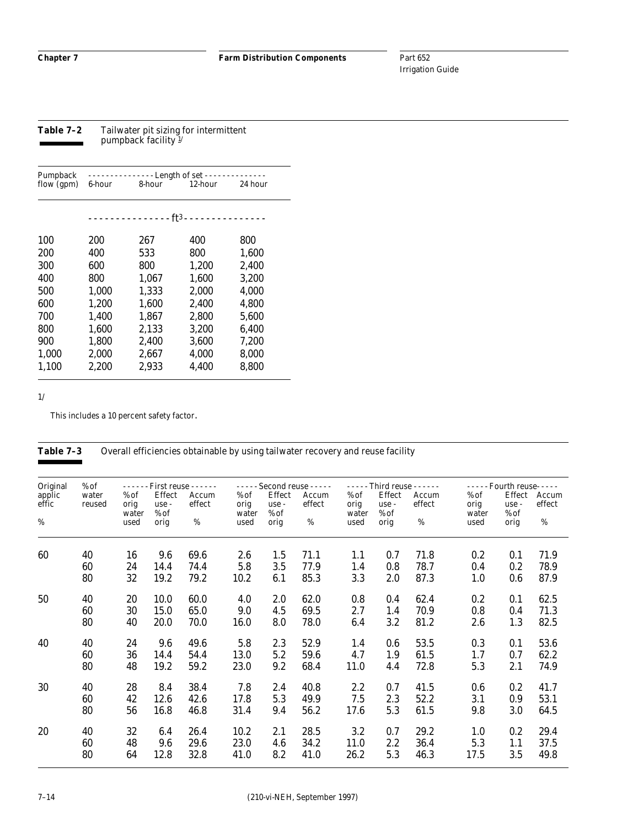**Table 7–2** Tailwater pit sizing for intermittent pumpback facility 1/

| 6-hour | 8-hour | 12-hour | 24 hour                                                                      |
|--------|--------|---------|------------------------------------------------------------------------------|
|        |        |         |                                                                              |
|        |        |         |                                                                              |
| 200    | 267    | 400     | 800                                                                          |
| 400    | 533    | 800     | 1.600                                                                        |
| 600    | 800    | 1,200   | 2.400                                                                        |
| 800    | 1,067  | 1,600   | 3.200                                                                        |
| 1,000  | 1,333  | 2,000   | 4,000                                                                        |
| 1.200  | 1.600  | 2.400   | 4.800                                                                        |
| 1.400  | 1.867  | 2.800   | 5.600                                                                        |
| 1.600  | 2.133  | 3.200   | 6.400                                                                        |
| 1.800  | 2.400  | 3.600   | 7.200                                                                        |
| 2,000  | 2,667  | 4,000   | 8,000                                                                        |
| 2.200  | 2.933  | 4.400   | 8.800                                                                        |
|        |        |         | - Length of set - -<br><u> - - - - - - - - - - - - ft3 - - - - - - - - -</u> |

1/

This includes a 10 percent safety factor.

#### Table 7-3 Overall efficiencies obtainable by using tailwater recovery and reuse facility

| Original        | $%$ of          | $\omega$ is a $\omega$  |                         | First reuse - - - - - - | $\omega = \omega / \omega$ |                         | Second reuse - - - - - |                         |                           | - - - - - Third reuse - - - - - - |                         | - - - - - Fourth reuse- - - - - |                 |
|-----------------|-----------------|-------------------------|-------------------------|-------------------------|----------------------------|-------------------------|------------------------|-------------------------|---------------------------|-----------------------------------|-------------------------|---------------------------------|-----------------|
| applic<br>effic | water<br>reused | $%$ of<br>orig<br>water | Effect<br>use -<br>% of | Accum<br>effect         | $%$ of<br>orig<br>water    | Effect<br>use -<br>% of | Accum<br>effect        | $%$ of<br>orig<br>water | Effect<br>use -<br>$%$ of | Accum<br>effect                   | $%$ of<br>orig<br>water | Effect<br>use -<br>% of         | Accum<br>effect |
| %               |                 | used                    | orig                    | %                       | used                       | orig                    | %                      | used                    | orig                      | $\%$                              | used                    | orig                            | %               |
| 60              | 40              | 16                      | 9.6                     | 69.6                    | 2.6                        | 1.5                     | 71.1                   | 1.1                     | 0.7                       | 71.8                              | 0.2                     | 0.1                             | 71.9            |
|                 | 60              | 24                      | 14.4                    | 74.4                    | 5.8                        | 3.5                     | 77.9                   | 1.4                     | 0.8                       | 78.7                              | 0.4                     | 0.2                             | 78.9            |
|                 | 80              | 32                      | 19.2                    | 79.2                    | 10.2                       | 6.1                     | 85.3                   | 3.3                     | 2.0                       | 87.3                              | 1.0                     | 0.6                             | 87.9            |
| 50              | 40              | 20                      | 10.0                    | 60.0                    | 4.0                        | 2.0                     | 62.0                   | 0.8                     | 0.4                       | 62.4                              | 0.2                     | 0.1                             | 62.5            |
|                 | 60              | 30                      | 15.0                    | 65.0                    | 9.0                        | 4.5                     | 69.5                   | 2.7                     | 1.4                       | 70.9                              | 0.8                     | 0.4                             | 71.3            |
|                 | 80              | 40                      | 20.0                    | 70.0                    | 16.0                       | 8.0                     | 78.0                   | 6.4                     | 3.2                       | 81.2                              | 2.6                     | 1.3                             | 82.5            |
| 40              | 40              | 24                      | 9.6                     | 49.6                    | 5.8                        | 2.3                     | 52.9                   | 1.4                     | 0.6                       | 53.5                              | 0.3                     | 0.1                             | 53.6            |
|                 | 60              | 36                      | 14.4                    | 54.4                    | 13.0                       | 5.2                     | 59.6                   | 4.7                     | 1.9                       | 61.5                              | 1.7                     | 0.7                             | 62.2            |
|                 | 80              | 48                      | 19.2                    | 59.2                    | 23.0                       | 9.2                     | 68.4                   | 11.0                    | 4.4                       | 72.8                              | 5.3                     | 2.1                             | 74.9            |
| 30              | 40              | 28                      | 8.4                     | 38.4                    | 7.8                        | 2.4                     | 40.8                   | 2.2                     | 0.7                       | 41.5                              | 0.6                     | 0.2                             | 41.7            |
|                 | 60              | 42                      | 12.6                    | 42.6                    | 17.8                       | 5.3                     | 49.9                   | 7.5                     | 2.3                       | 52.2                              | 3.1                     | 0.9                             | 53.1            |
|                 | 80              | 56                      | 16.8                    | 46.8                    | 31.4                       | 9.4                     | 56.2                   | 17.6                    | 5.3                       | 61.5                              | 9.8                     | 3.0                             | 64.5            |
| 20              | 40              | 32                      | 6.4                     | 26.4                    | 10.2                       | 2.1                     | 28.5                   | 3.2                     | 0.7                       | 29.2                              | 1.0                     | 0.2                             | 29.4            |
|                 | 60              | 48                      | 9.6                     | 29.6                    | 23.0                       | 4.6                     | 34.2                   | 11.0                    | 2.2                       | 36.4                              | 5.3                     | 1.1                             | 37.5            |
|                 | 80              | 64                      | 12.8                    | 32.8                    | 41.0                       | 8.2                     | 41.0                   | 26.2                    | 5.3                       | 46.3                              | 17.5                    | 3.5                             | 49.8            |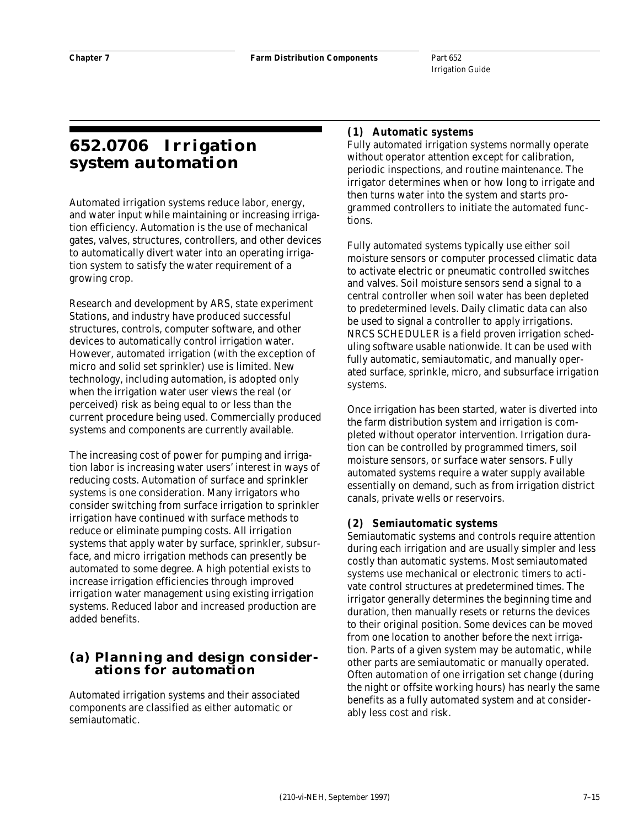# **652.0706 Irrigation system automation**

Automated irrigation systems reduce labor, energy, and water input while maintaining or increasing irrigation efficiency. Automation is the use of mechanical gates, valves, structures, controllers, and other devices to automatically divert water into an operating irrigation system to satisfy the water requirement of a growing crop.

Research and development by ARS, state experiment Stations, and industry have produced successful structures, controls, computer software, and other devices to automatically control irrigation water. However, automated irrigation (with the exception of micro and solid set sprinkler) use is limited. New technology, including automation, is adopted only when the irrigation water user views the real (or perceived) risk as being equal to or less than the current procedure being used. Commercially produced systems and components are currently available.

The increasing cost of power for pumping and irrigation labor is increasing water users' interest in ways of reducing costs. Automation of surface and sprinkler systems is one consideration. Many irrigators who consider switching from surface irrigation to sprinkler irrigation have continued with surface methods to reduce or eliminate pumping costs. All irrigation systems that apply water by surface, sprinkler, subsurface, and micro irrigation methods can presently be automated to some degree. A high potential exists to increase irrigation efficiencies through improved irrigation water management using existing irrigation systems. Reduced labor and increased production are added benefits.

### **(a) Planning and design considerations for automation**

Automated irrigation systems and their associated components are classified as either automatic or semiautomatic.

### **(1) Automatic systems**

Fully automated irrigation systems normally operate without operator attention except for calibration, periodic inspections, and routine maintenance. The irrigator determines when or how long to irrigate and then turns water into the system and starts programmed controllers to initiate the automated functions.

Fully automated systems typically use either soil moisture sensors or computer processed climatic data to activate electric or pneumatic controlled switches and valves. Soil moisture sensors send a signal to a central controller when soil water has been depleted to predetermined levels. Daily climatic data can also be used to signal a controller to apply irrigations. NRCS SCHEDULER is a field proven irrigation scheduling software usable nationwide. It can be used with fully automatic, semiautomatic, and manually operated surface, sprinkle, micro, and subsurface irrigation systems.

Once irrigation has been started, water is diverted into the farm distribution system and irrigation is completed without operator intervention. Irrigation duration can be controlled by programmed timers, soil moisture sensors, or surface water sensors. Fully automated systems require a water supply available essentially on demand, such as from irrigation district canals, private wells or reservoirs.

#### **(2) Semiautomatic systems**

Semiautomatic systems and controls require attention during each irrigation and are usually simpler and less costly than automatic systems. Most semiautomated systems use mechanical or electronic timers to activate control structures at predetermined times. The irrigator generally determines the beginning time and duration, then manually resets or returns the devices to their original position. Some devices can be moved from one location to another before the next irrigation. Parts of a given system may be automatic, while other parts are semiautomatic or manually operated. Often automation of one irrigation set change (during the night or offsite working hours) has nearly the same benefits as a fully automated system and at considerably less cost and risk.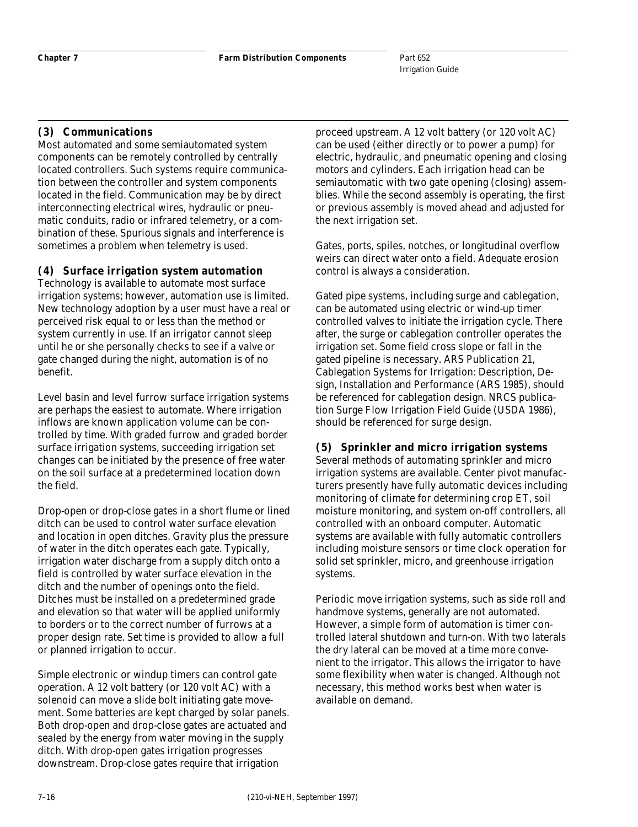#### **(3) Communications**

Most automated and some semiautomated system components can be remotely controlled by centrally located controllers. Such systems require communication between the controller and system components located in the field. Communication may be by direct interconnecting electrical wires, hydraulic or pneumatic conduits, radio or infrared telemetry, or a combination of these. Spurious signals and interference is sometimes a problem when telemetry is used.

#### **(4) Surface irrigation system automation**

Technology is available to automate most surface irrigation systems; however, automation use is limited. New technology adoption by a user must have a real or perceived risk equal to or less than the method or system currently in use. If an irrigator cannot sleep until he or she personally checks to see if a valve or gate changed during the night, automation is of no benefit.

Level basin and level furrow surface irrigation systems are perhaps the easiest to automate. Where irrigation inflows are known application volume can be controlled by time. With graded furrow and graded border surface irrigation systems, succeeding irrigation set changes can be initiated by the presence of free water on the soil surface at a predetermined location down the field.

Drop-open or drop-close gates in a short flume or lined ditch can be used to control water surface elevation and location in open ditches. Gravity plus the pressure of water in the ditch operates each gate. Typically, irrigation water discharge from a supply ditch onto a field is controlled by water surface elevation in the ditch and the number of openings onto the field. Ditches must be installed on a predetermined grade and elevation so that water will be applied uniformly to borders or to the correct number of furrows at a proper design rate. Set time is provided to allow a full or planned irrigation to occur.

Simple electronic or windup timers can control gate operation. A 12 volt battery (or 120 volt AC) with a solenoid can move a slide bolt initiating gate movement. Some batteries are kept charged by solar panels. Both drop-open and drop-close gates are actuated and sealed by the energy from water moving in the supply ditch. With drop-open gates irrigation progresses downstream. Drop-close gates require that irrigation

proceed upstream. A 12 volt battery (or 120 volt AC) can be used (either directly or to power a pump) for electric, hydraulic, and pneumatic opening and closing motors and cylinders. Each irrigation head can be semiautomatic with two gate opening (closing) assemblies. While the second assembly is operating, the first or previous assembly is moved ahead and adjusted for the next irrigation set.

Gates, ports, spiles, notches, or longitudinal overflow weirs can direct water onto a field. Adequate erosion control is always a consideration.

Gated pipe systems, including surge and cablegation, can be automated using electric or wind-up timer controlled valves to initiate the irrigation cycle. There after, the surge or cablegation controller operates the irrigation set. Some field cross slope or fall in the gated pipeline is necessary. ARS Publication 21, Cablegation Systems for Irrigation: Description, Design, Installation and Performance (ARS 1985), should be referenced for cablegation design. NRCS publication Surge Flow Irrigation Field Guide (USDA 1986), should be referenced for surge design.

### **(5) Sprinkler and micro irrigation systems**

Several methods of automating sprinkler and micro irrigation systems are available. Center pivot manufacturers presently have fully automatic devices including monitoring of climate for determining crop ET, soil moisture monitoring, and system on-off controllers, all controlled with an onboard computer. Automatic systems are available with fully automatic controllers including moisture sensors or time clock operation for solid set sprinkler, micro, and greenhouse irrigation systems.

Periodic move irrigation systems, such as side roll and handmove systems, generally are not automated. However, a simple form of automation is timer controlled lateral shutdown and turn-on. With two laterals the dry lateral can be moved at a time more convenient to the irrigator. This allows the irrigator to have some flexibility when water is changed. Although not necessary, this method works best when water is available on demand.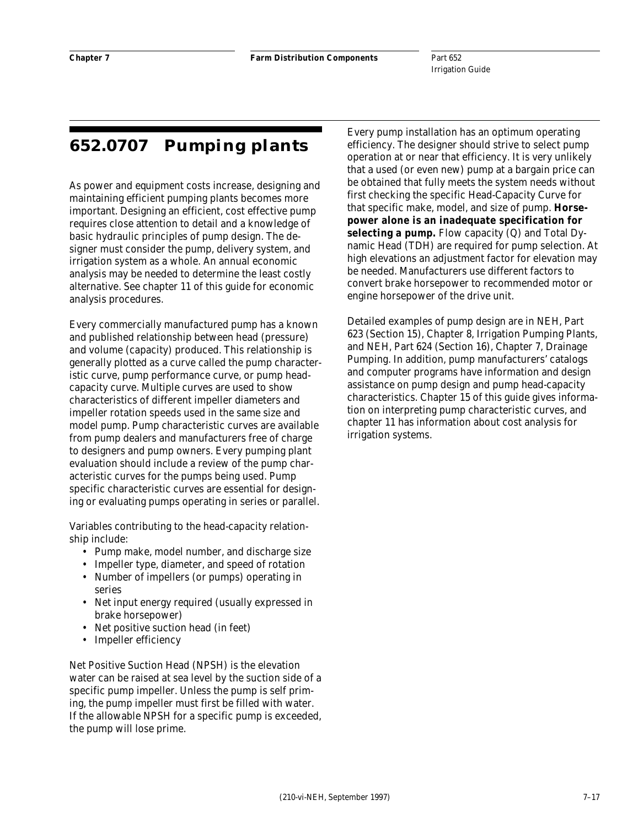# **652.0707 Pumping plants**

As power and equipment costs increase, designing and maintaining efficient pumping plants becomes more important. Designing an efficient, cost effective pump requires close attention to detail and a knowledge of basic hydraulic principles of pump design. The designer must consider the pump, delivery system, and irrigation system as a whole. An annual economic analysis may be needed to determine the least costly alternative. See chapter 11 of this guide for economic analysis procedures.

Every commercially manufactured pump has a known and published relationship between head (pressure) and volume (capacity) produced. This relationship is generally plotted as a curve called the pump characteristic curve, pump performance curve, or pump headcapacity curve. Multiple curves are used to show characteristics of different impeller diameters and impeller rotation speeds used in the same size and model pump. Pump characteristic curves are available from pump dealers and manufacturers free of charge to designers and pump owners. Every pumping plant evaluation should include a review of the pump characteristic curves for the pumps being used. Pump specific characteristic curves are essential for designing or evaluating pumps operating in series or parallel.

Variables contributing to the head-capacity relationship include:

- Pump make, model number, and discharge size
- Impeller type, diameter, and speed of rotation
- Number of impellers (or pumps) operating in series
- Net input energy required (usually expressed in brake horsepower)
- Net positive suction head (in feet)
- Impeller efficiency

Net Positive Suction Head (NPSH) is the elevation water can be raised at sea level by the suction side of a specific pump impeller. Unless the pump is self priming, the pump impeller must first be filled with water. If the allowable NPSH for a specific pump is exceeded, the pump will lose prime.

Every pump installation has an optimum operating efficiency. The designer should strive to select pump operation at or near that efficiency. It is very unlikely that a used (or even new) pump at a bargain price can be obtained that fully meets the system needs without first checking the specific Head-Capacity Curve for that specific make, model, and size of pump. **Horsepower alone is an inadequate specification for selecting a pump.** Flow capacity (Q) and Total Dynamic Head (TDH) are required for pump selection. At high elevations an adjustment factor for elevation may be needed. Manufacturers use different factors to convert brake horsepower to recommended motor or engine horsepower of the drive unit.

Detailed examples of pump design are in NEH, Part 623 (Section 15), Chapter 8, Irrigation Pumping Plants, and NEH, Part 624 (Section 16), Chapter 7, Drainage Pumping. In addition, pump manufacturers' catalogs and computer programs have information and design assistance on pump design and pump head-capacity characteristics. Chapter 15 of this guide gives information on interpreting pump characteristic curves, and chapter 11 has information about cost analysis for irrigation systems.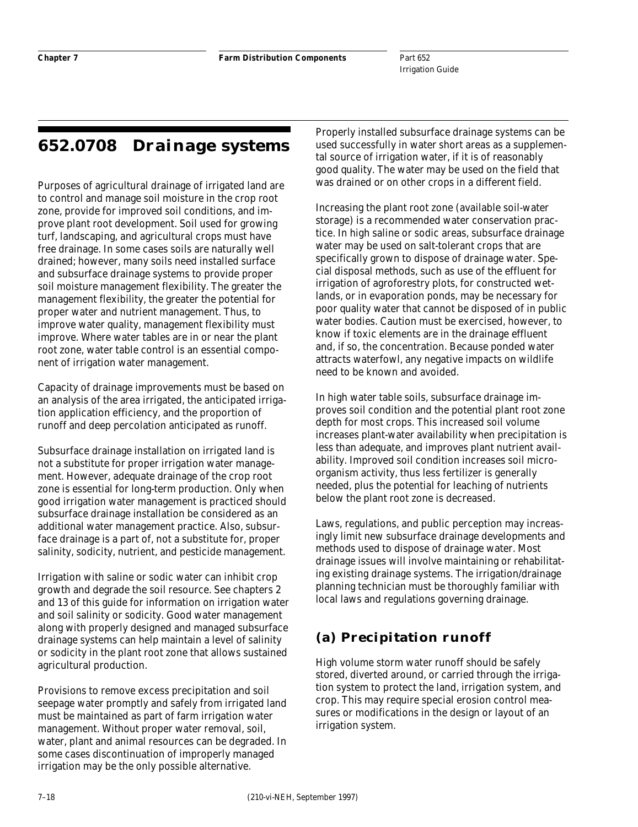# **652.0708 Drainage systems**

Purposes of agricultural drainage of irrigated land are to control and manage soil moisture in the crop root zone, provide for improved soil conditions, and improve plant root development. Soil used for growing turf, landscaping, and agricultural crops must have free drainage. In some cases soils are naturally well drained; however, many soils need installed surface and subsurface drainage systems to provide proper soil moisture management flexibility. The greater the management flexibility, the greater the potential for proper water and nutrient management. Thus, to improve water quality, management flexibility must improve. Where water tables are in or near the plant root zone, water table control is an essential component of irrigation water management.

Capacity of drainage improvements must be based on an analysis of the area irrigated, the anticipated irrigation application efficiency, and the proportion of runoff and deep percolation anticipated as runoff.

Subsurface drainage installation on irrigated land is not a substitute for proper irrigation water management. However, adequate drainage of the crop root zone is essential for long-term production. Only when good irrigation water management is practiced should subsurface drainage installation be considered as an additional water management practice. Also, subsurface drainage is a part of, not a substitute for, proper salinity, sodicity, nutrient, and pesticide management.

Irrigation with saline or sodic water can inhibit crop growth and degrade the soil resource. See chapters 2 and 13 of this guide for information on irrigation water and soil salinity or sodicity. Good water management along with properly designed and managed subsurface drainage systems can help maintain a level of salinity or sodicity in the plant root zone that allows sustained agricultural production.

Provisions to remove excess precipitation and soil seepage water promptly and safely from irrigated land must be maintained as part of farm irrigation water management. Without proper water removal, soil, water, plant and animal resources can be degraded. In some cases discontinuation of improperly managed irrigation may be the only possible alternative.

Properly installed subsurface drainage systems can be used successfully in water short areas as a supplemental source of irrigation water, if it is of reasonably good quality. The water may be used on the field that was drained or on other crops in a different field.

Increasing the plant root zone (available soil-water storage) is a recommended water conservation practice. In high saline or sodic areas, subsurface drainage water may be used on salt-tolerant crops that are specifically grown to dispose of drainage water. Special disposal methods, such as use of the effluent for irrigation of agroforestry plots, for constructed wetlands, or in evaporation ponds, may be necessary for poor quality water that cannot be disposed of in public water bodies. Caution must be exercised, however, to know if toxic elements are in the drainage effluent and, if so, the concentration. Because ponded water attracts waterfowl, any negative impacts on wildlife need to be known and avoided.

In high water table soils, subsurface drainage improves soil condition and the potential plant root zone depth for most crops. This increased soil volume increases plant-water availability when precipitation is less than adequate, and improves plant nutrient availability. Improved soil condition increases soil microorganism activity, thus less fertilizer is generally needed, plus the potential for leaching of nutrients below the plant root zone is decreased.

Laws, regulations, and public perception may increasingly limit new subsurface drainage developments and methods used to dispose of drainage water. Most drainage issues will involve maintaining or rehabilitating existing drainage systems. The irrigation/drainage planning technician must be thoroughly familiar with local laws and regulations governing drainage.

# **(a) Precipitation runoff**

High volume storm water runoff should be safely stored, diverted around, or carried through the irrigation system to protect the land, irrigation system, and crop. This may require special erosion control measures or modifications in the design or layout of an irrigation system.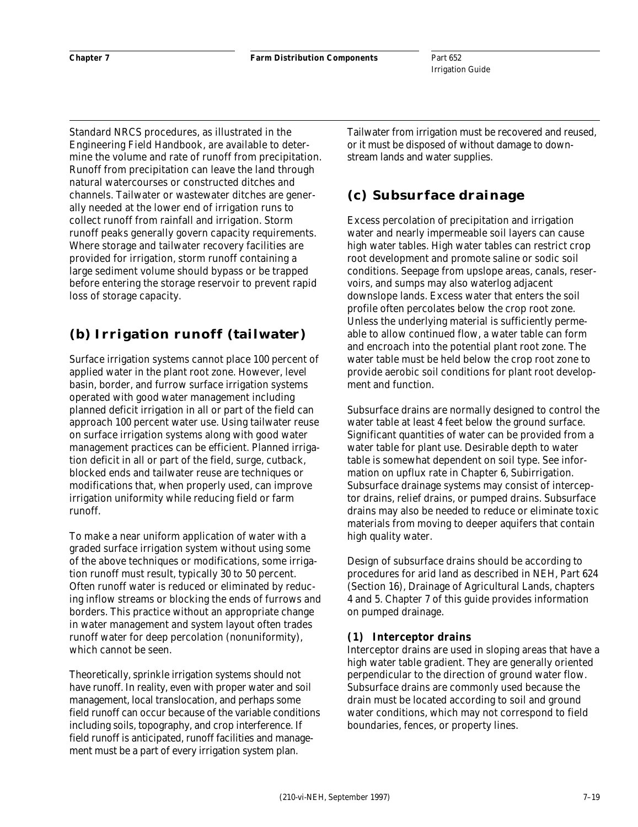Standard NRCS procedures, as illustrated in the Engineering Field Handbook, are available to determine the volume and rate of runoff from precipitation. Runoff from precipitation can leave the land through natural watercourses or constructed ditches and channels. Tailwater or wastewater ditches are generally needed at the lower end of irrigation runs to collect runoff from rainfall and irrigation. Storm runoff peaks generally govern capacity requirements. Where storage and tailwater recovery facilities are provided for irrigation, storm runoff containing a large sediment volume should bypass or be trapped before entering the storage reservoir to prevent rapid loss of storage capacity.

### **(b) Irrigation runoff (tailwater)**

Surface irrigation systems cannot place 100 percent of applied water in the plant root zone. However, level basin, border, and furrow surface irrigation systems operated with good water management including planned deficit irrigation in all or part of the field can approach 100 percent water use. Using tailwater reuse on surface irrigation systems along with good water management practices can be efficient. Planned irrigation deficit in all or part of the field, surge, cutback, blocked ends and tailwater reuse are techniques or modifications that, when properly used, can improve irrigation uniformity while reducing field or farm runoff.

To make a near uniform application of water with a graded surface irrigation system without using some of the above techniques or modifications, some irrigation runoff must result, typically 30 to 50 percent. Often runoff water is reduced or eliminated by reducing inflow streams or blocking the ends of furrows and borders. This practice without an appropriate change in water management and system layout often trades runoff water for deep percolation (nonuniformity), which cannot be seen.

Theoretically, sprinkle irrigation systems should not have runoff. In reality, even with proper water and soil management, local translocation, and perhaps some field runoff can occur because of the variable conditions including soils, topography, and crop interference. If field runoff is anticipated, runoff facilities and management must be a part of every irrigation system plan.

Tailwater from irrigation must be recovered and reused, or it must be disposed of without damage to downstream lands and water supplies.

## **(c) Subsurface drainage**

Excess percolation of precipitation and irrigation water and nearly impermeable soil layers can cause high water tables. High water tables can restrict crop root development and promote saline or sodic soil conditions. Seepage from upslope areas, canals, reservoirs, and sumps may also waterlog adjacent downslope lands. Excess water that enters the soil profile often percolates below the crop root zone. Unless the underlying material is sufficiently permeable to allow continued flow, a water table can form and encroach into the potential plant root zone. The water table must be held below the crop root zone to provide aerobic soil conditions for plant root development and function.

Subsurface drains are normally designed to control the water table at least 4 feet below the ground surface. Significant quantities of water can be provided from a water table for plant use. Desirable depth to water table is somewhat dependent on soil type. See information on upflux rate in Chapter 6, Subirrigation. Subsurface drainage systems may consist of interceptor drains, relief drains, or pumped drains. Subsurface drains may also be needed to reduce or eliminate toxic materials from moving to deeper aquifers that contain high quality water.

Design of subsurface drains should be according to procedures for arid land as described in NEH, Part 624 (Section 16), Drainage of Agricultural Lands, chapters 4 and 5. Chapter 7 of this guide provides information on pumped drainage.

### **(1) Interceptor drains**

Interceptor drains are used in sloping areas that have a high water table gradient. They are generally oriented perpendicular to the direction of ground water flow. Subsurface drains are commonly used because the drain must be located according to soil and ground water conditions, which may not correspond to field boundaries, fences, or property lines.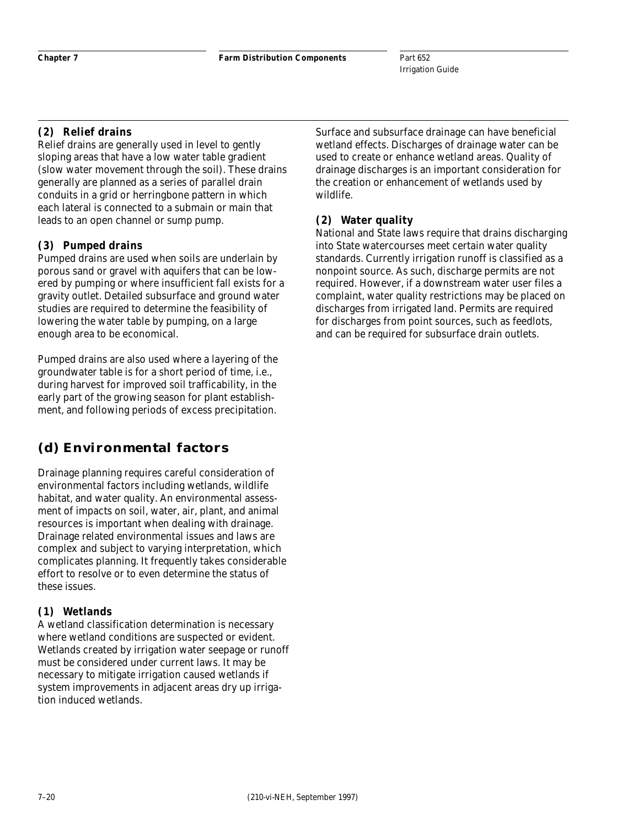### **(2) Relief drains**

Relief drains are generally used in level to gently sloping areas that have a low water table gradient (slow water movement through the soil). These drains generally are planned as a series of parallel drain conduits in a grid or herringbone pattern in which each lateral is connected to a submain or main that leads to an open channel or sump pump.

### **(3) Pumped drains**

Pumped drains are used when soils are underlain by porous sand or gravel with aquifers that can be lowered by pumping or where insufficient fall exists for a gravity outlet. Detailed subsurface and ground water studies are required to determine the feasibility of lowering the water table by pumping, on a large enough area to be economical.

Pumped drains are also used where a layering of the groundwater table is for a short period of time, i.e., during harvest for improved soil trafficability, in the early part of the growing season for plant establishment, and following periods of excess precipitation.

# **(d) Environmental factors**

Drainage planning requires careful consideration of environmental factors including wetlands, wildlife habitat, and water quality. An environmental assessment of impacts on soil, water, air, plant, and animal resources is important when dealing with drainage. Drainage related environmental issues and laws are complex and subject to varying interpretation, which complicates planning. It frequently takes considerable effort to resolve or to even determine the status of these issues.

#### **(1) Wetlands**

A wetland classification determination is necessary where wetland conditions are suspected or evident. Wetlands created by irrigation water seepage or runoff must be considered under current laws. It may be necessary to mitigate irrigation caused wetlands if system improvements in adjacent areas dry up irrigation induced wetlands.

Surface and subsurface drainage can have beneficial wetland effects. Discharges of drainage water can be used to create or enhance wetland areas. Quality of drainage discharges is an important consideration for the creation or enhancement of wetlands used by wildlife.

### **(2) Water quality**

National and State laws require that drains discharging into State watercourses meet certain water quality standards. Currently irrigation runoff is classified as a nonpoint source. As such, discharge permits are not required. However, if a downstream water user files a complaint, water quality restrictions may be placed on discharges from irrigated land. Permits are required for discharges from point sources, such as feedlots, and can be required for subsurface drain outlets.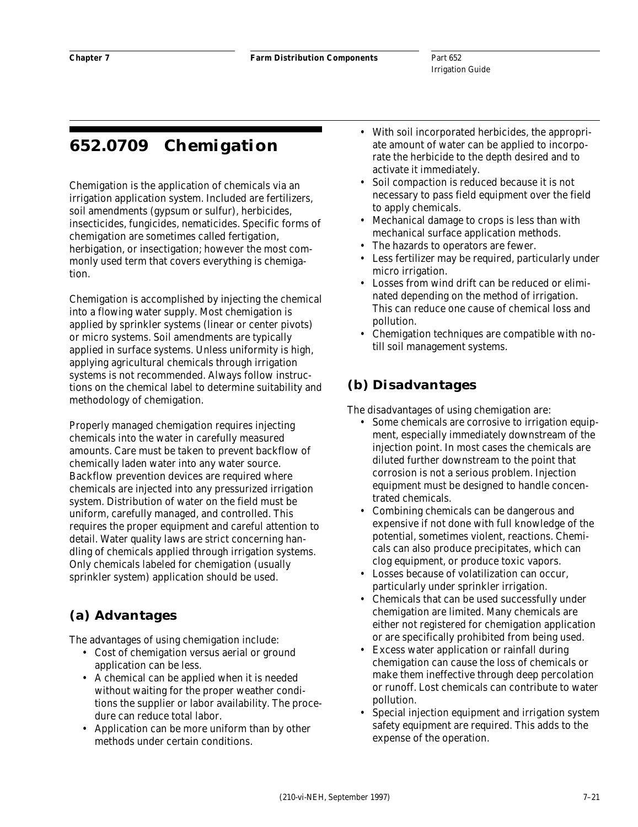# **652.0709 Chemigation**

Chemigation is the application of chemicals via an irrigation application system. Included are fertilizers, soil amendments (gypsum or sulfur), herbicides, insecticides, fungicides, nematicides. Specific forms of chemigation are sometimes called fertigation, herbigation, or insectigation; however the most commonly used term that covers everything is chemigation.

Chemigation is accomplished by injecting the chemical into a flowing water supply. Most chemigation is applied by sprinkler systems (linear or center pivots) or micro systems. Soil amendments are typically applied in surface systems. Unless uniformity is high, applying agricultural chemicals through irrigation systems is not recommended. Always follow instructions on the chemical label to determine suitability and methodology of chemigation.

Properly managed chemigation requires injecting chemicals into the water in carefully measured amounts. Care must be taken to prevent backflow of chemically laden water into any water source. Backflow prevention devices are required where chemicals are injected into any pressurized irrigation system. Distribution of water on the field must be uniform, carefully managed, and controlled. This requires the proper equipment and careful attention to detail. Water quality laws are strict concerning handling of chemicals applied through irrigation systems. Only chemicals labeled for chemigation (usually sprinkler system) application should be used.

# **(a) Advantages**

The advantages of using chemigation include:

- Cost of chemigation versus aerial or ground application can be less.
- A chemical can be applied when it is needed without waiting for the proper weather conditions the supplier or labor availability. The procedure can reduce total labor.
- Application can be more uniform than by other methods under certain conditions.
- With soil incorporated herbicides, the appropriate amount of water can be applied to incorporate the herbicide to the depth desired and to activate it immediately.
- Soil compaction is reduced because it is not necessary to pass field equipment over the field to apply chemicals.
- Mechanical damage to crops is less than with mechanical surface application methods.
- The hazards to operators are fewer.
- Less fertilizer may be required, particularly under micro irrigation.
- Losses from wind drift can be reduced or eliminated depending on the method of irrigation. This can reduce one cause of chemical loss and pollution.
- Chemigation techniques are compatible with notill soil management systems.

### **(b) Disadvantages**

The disadvantages of using chemigation are:

- Some chemicals are corrosive to irrigation equipment, especially immediately downstream of the injection point. In most cases the chemicals are diluted further downstream to the point that corrosion is not a serious problem. Injection equipment must be designed to handle concentrated chemicals.
- Combining chemicals can be dangerous and expensive if not done with full knowledge of the potential, sometimes violent, reactions. Chemicals can also produce precipitates, which can clog equipment, or produce toxic vapors.
- Losses because of volatilization can occur, particularly under sprinkler irrigation.
- Chemicals that can be used successfully under chemigation are limited. Many chemicals are either not registered for chemigation application or are specifically prohibited from being used.
- Excess water application or rainfall during chemigation can cause the loss of chemicals or make them ineffective through deep percolation or runoff. Lost chemicals can contribute to water pollution.
- Special injection equipment and irrigation system safety equipment are required. This adds to the expense of the operation.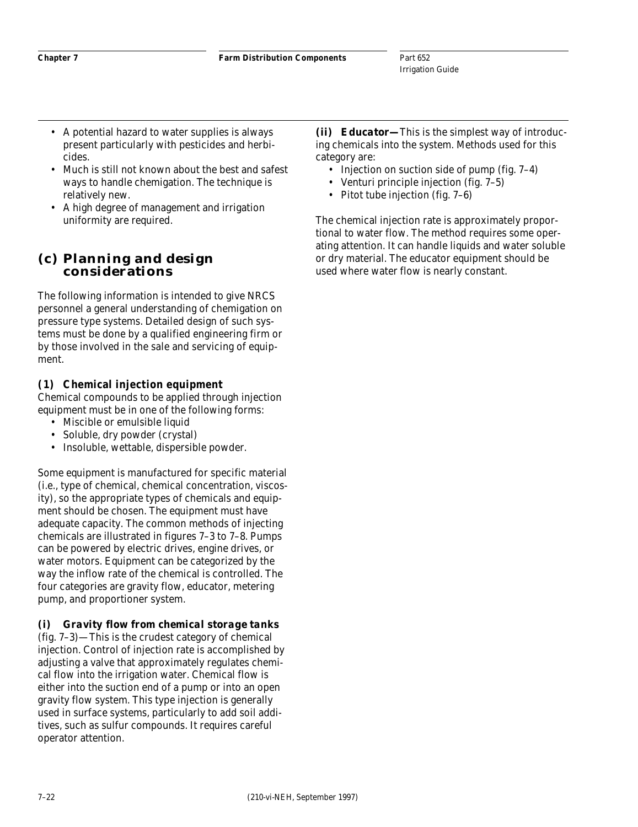- A potential hazard to water supplies is always present particularly with pesticides and herbicides.
- Much is still not known about the best and safest ways to handle chemigation. The technique is relatively new.
- A high degree of management and irrigation uniformity are required.

### **(c) Planning and design considerations**

The following information is intended to give NRCS personnel a general understanding of chemigation on pressure type systems. Detailed design of such systems must be done by a qualified engineering firm or by those involved in the sale and servicing of equipment.

### **(1) Chemical injection equipment**

Chemical compounds to be applied through injection equipment must be in one of the following forms:

- Miscible or emulsible liquid
- Soluble, dry powder (crystal)
- Insoluble, wettable, dispersible powder.

Some equipment is manufactured for specific material (i.e., type of chemical, chemical concentration, viscosity), so the appropriate types of chemicals and equipment should be chosen. The equipment must have adequate capacity. The common methods of injecting chemicals are illustrated in figures 7–3 to 7–8. Pumps can be powered by electric drives, engine drives, or water motors. Equipment can be categorized by the way the inflow rate of the chemical is controlled. The four categories are gravity flow, educator, metering pump, and proportioner system.

#### *(i) Gravity flow from chemical storage tanks*

(fig. 7–3)—This is the crudest category of chemical injection. Control of injection rate is accomplished by adjusting a valve that approximately regulates chemical flow into the irrigation water. Chemical flow is either into the suction end of a pump or into an open gravity flow system. This type injection is generally used in surface systems, particularly to add soil additives, such as sulfur compounds. It requires careful operator attention.

*(ii) Educator—*This is the simplest way of introducing chemicals into the system. Methods used for this category are:

- Injection on suction side of pump (fig. 7–4)
- Venturi principle injection (fig. 7–5)
- Pitot tube injection (fig. 7–6)

The chemical injection rate is approximately proportional to water flow. The method requires some operating attention. It can handle liquids and water soluble or dry material. The educator equipment should be used where water flow is nearly constant.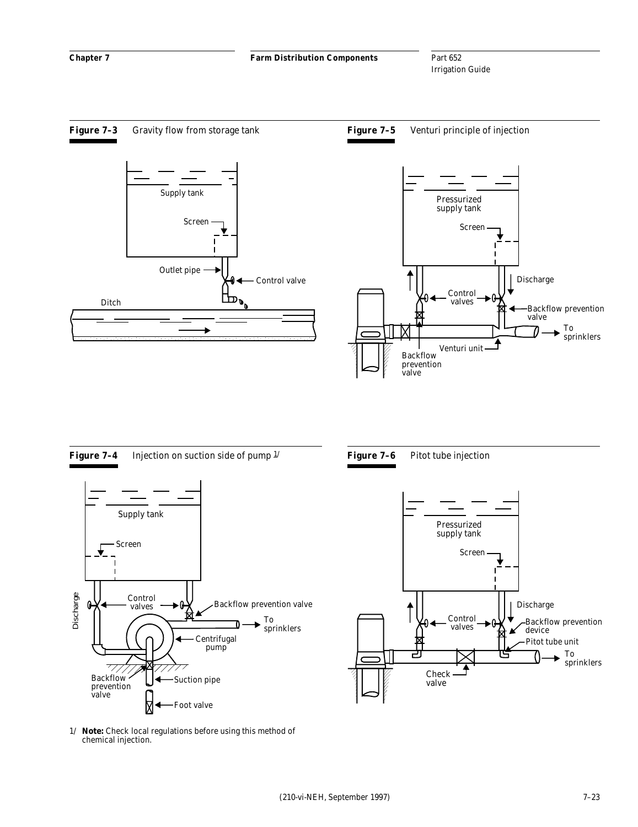



1/ *Note:* Check local regulations before using this method of chemical injection.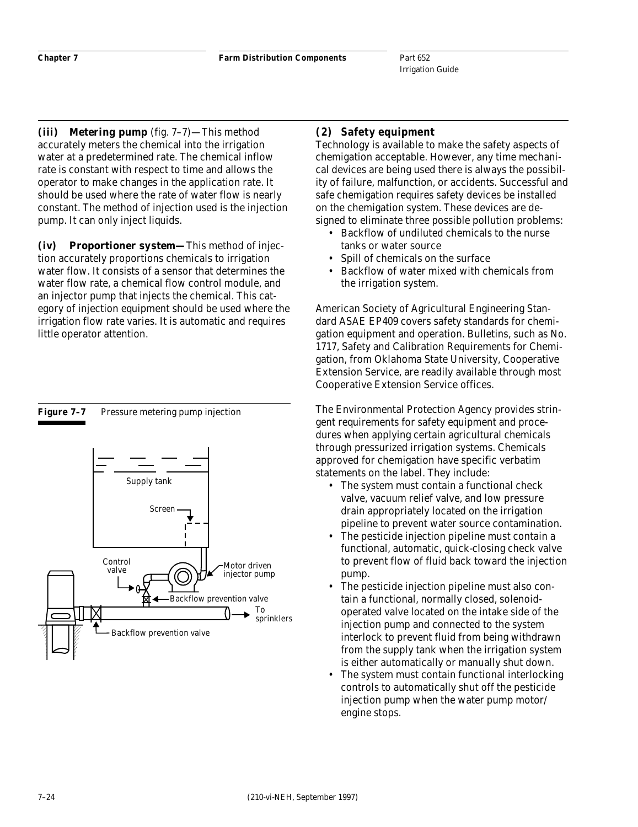*(iii) Metering pump* (fig. 7–7)—This method accurately meters the chemical into the irrigation water at a predetermined rate. The chemical inflow rate is constant with respect to time and allows the operator to make changes in the application rate. It should be used where the rate of water flow is nearly constant. The method of injection used is the injection pump. It can only inject liquids.

*(iv) Proportioner system—*This method of injection accurately proportions chemicals to irrigation water flow. It consists of a sensor that determines the water flow rate, a chemical flow control module, and an injector pump that injects the chemical. This category of injection equipment should be used where the irrigation flow rate varies. It is automatic and requires little operator attention.

#### Figure 7-7 Pressure metering pump injection



#### **(2) Safety equipment**

Technology is available to make the safety aspects of chemigation acceptable. However, any time mechanical devices are being used there is always the possibility of failure, malfunction, or accidents. Successful and safe chemigation requires safety devices be installed on the chemigation system. These devices are designed to eliminate three possible pollution problems:

- Backflow of undiluted chemicals to the nurse tanks or water source
- Spill of chemicals on the surface
- Backflow of water mixed with chemicals from the irrigation system.

American Society of Agricultural Engineering Standard ASAE EP409 covers safety standards for chemigation equipment and operation. Bulletins, such as No. 1717, Safety and Calibration Requirements for Chemigation, from Oklahoma State University, Cooperative Extension Service, are readily available through most Cooperative Extension Service offices.

The Environmental Protection Agency provides stringent requirements for safety equipment and procedures when applying certain agricultural chemicals through pressurized irrigation systems. Chemicals approved for chemigation have specific verbatim statements on the label. They include:

- The system must contain a functional check valve, vacuum relief valve, and low pressure drain appropriately located on the irrigation pipeline to prevent water source contamination.
- The pesticide injection pipeline must contain a functional, automatic, quick-closing check valve to prevent flow of fluid back toward the injection pump.
- The pesticide injection pipeline must also contain a functional, normally closed, solenoidoperated valve located on the intake side of the injection pump and connected to the system interlock to prevent fluid from being withdrawn from the supply tank when the irrigation system is either automatically or manually shut down.
- The system must contain functional interlocking controls to automatically shut off the pesticide injection pump when the water pump motor/ engine stops.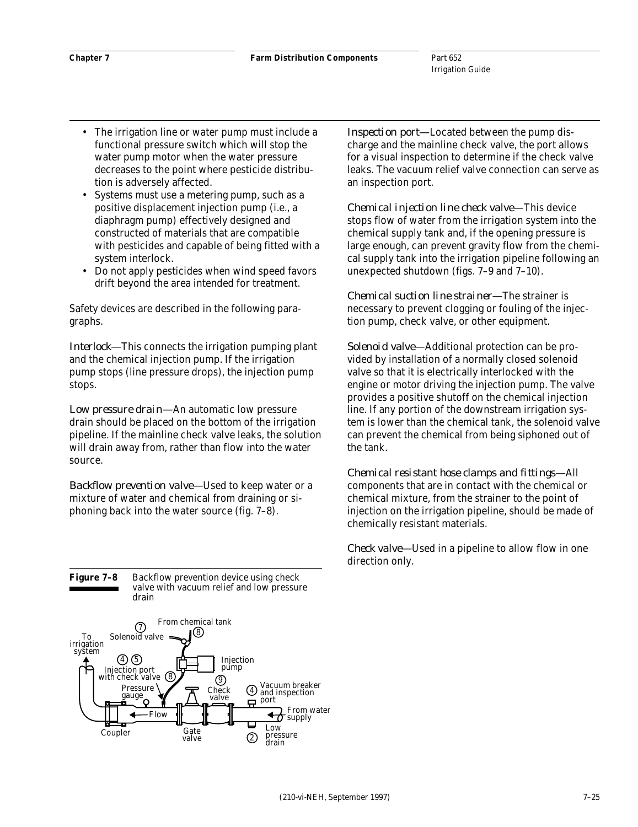- The irrigation line or water pump must include a functional pressure switch which will stop the water pump motor when the water pressure decreases to the point where pesticide distribution is adversely affected.
- Systems must use a metering pump, such as a positive displacement injection pump (i.e., a diaphragm pump) effectively designed and constructed of materials that are compatible with pesticides and capable of being fitted with a system interlock.
- Do not apply pesticides when wind speed favors drift beyond the area intended for treatment.

Safety devices are described in the following paragraphs.

*Interlock—*This connects the irrigation pumping plant and the chemical injection pump. If the irrigation pump stops (line pressure drops), the injection pump stops.

*Low pressure drain—*An automatic low pressure drain should be placed on the bottom of the irrigation pipeline. If the mainline check valve leaks, the solution will drain away from, rather than flow into the water source.

*Backflow prevention valve—*Used to keep water or a mixture of water and chemical from draining or siphoning back into the water source (fig. 7–8).

**Figure 7–8** Backflow prevention device using check valve with vacuum relief and low pressure drain



*Inspection port—*Located between the pump discharge and the mainline check valve, the port allows for a visual inspection to determine if the check valve leaks. The vacuum relief valve connection can serve as an inspection port.

*Chemical injection line check valve—*This device stops flow of water from the irrigation system into the chemical supply tank and, if the opening pressure is large enough, can prevent gravity flow from the chemical supply tank into the irrigation pipeline following an unexpected shutdown (figs. 7–9 and 7–10).

*Chemical suction line strainer—*The strainer is necessary to prevent clogging or fouling of the injection pump, check valve, or other equipment.

*Solenoid valve—*Additional protection can be provided by installation of a normally closed solenoid valve so that it is electrically interlocked with the engine or motor driving the injection pump. The valve provides a positive shutoff on the chemical injection line. If any portion of the downstream irrigation system is lower than the chemical tank, the solenoid valve can prevent the chemical from being siphoned out of the tank.

*Chemical resistant hose clamps and fittings—*All components that are in contact with the chemical or chemical mixture, from the strainer to the point of injection on the irrigation pipeline, should be made of chemically resistant materials.

*Check valve—*Used in a pipeline to allow flow in one direction only.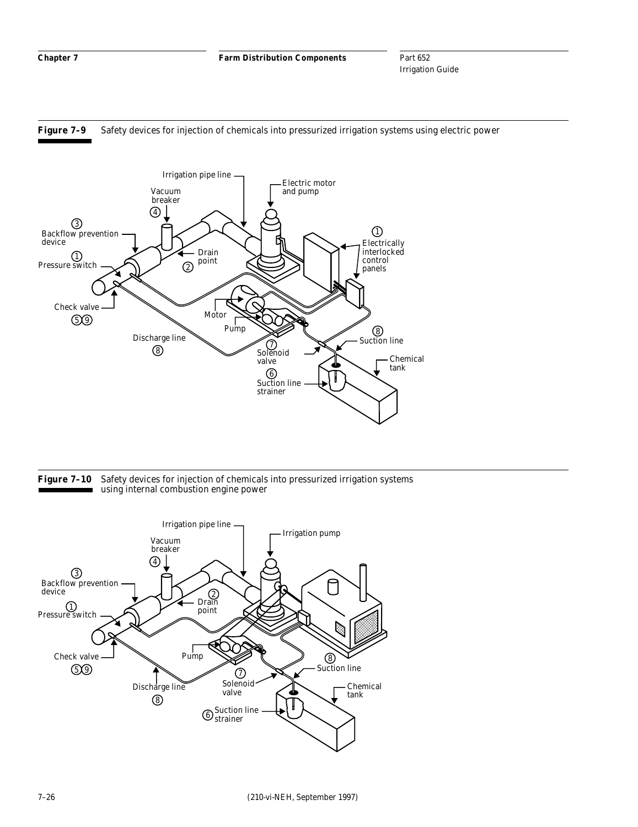**Chapter 7 Farm Distribution Components**

Part 652 Irrigation Guide







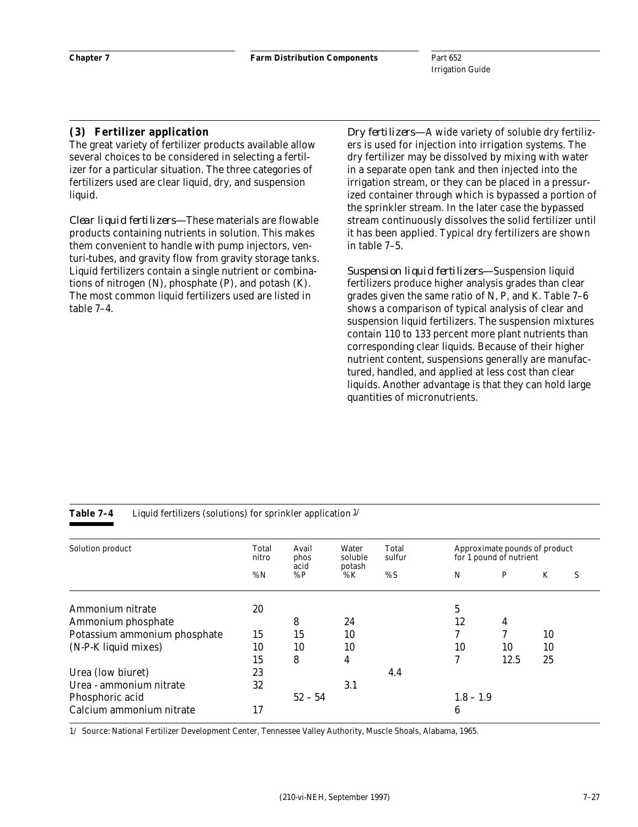#### **(3) Fertilizer application**

The great variety of fertilizer products available allow several choices to be considered in selecting a fertilizer for a particular situation. The three categories of fertilizers used are clear liquid, dry, and suspension liquid.

*Clear liquid fertilizers—*These materials are flowable products containing nutrients in solution. This makes them convenient to handle with pump injectors, venturi-tubes, and gravity flow from gravity storage tanks. Liquid fertilizers contain a single nutrient or combinations of nitrogen (N), phosphate (P), and potash (K). The most common liquid fertilizers used are listed in table 7–4.

*Dry fertilizers—*A wide variety of soluble dry fertilizers is used for injection into irrigation systems. The dry fertilizer may be dissolved by mixing with water in a separate open tank and then injected into the irrigation stream, or they can be placed in a pressurized container through which is bypassed a portion of the sprinkler stream. In the later case the bypassed stream continuously dissolves the solid fertilizer until it has been applied. Typical dry fertilizers are shown in table 7–5.

*Suspension liquid fertilizers—*Suspension liquid fertilizers produce higher analysis grades than clear grades given the same ratio of N, P, and K. Table 7–6 shows a comparison of typical analysis of clear and suspension liquid fertilizers. The suspension mixtures contain 110 to 133 percent more plant nutrients than corresponding clear liquids. Because of their higher nutrient content, suspensions generally are manufactured, handled, and applied at less cost than clear liquids. Another advantage is that they can hold large quantities of micronutrients.

| Solution product             | Total<br>nitro | Avail<br>phos<br>acid | Water<br>soluble<br>potash | Total<br>sulfur |             | Approximate pounds of product<br>for 1 pound of nutrient |    |   |
|------------------------------|----------------|-----------------------|----------------------------|-----------------|-------------|----------------------------------------------------------|----|---|
|                              | %N             | %P                    | $\% K$                     | $\% S$          | N           | P                                                        | K  | S |
| Ammonium nitrate             | 20             |                       |                            |                 | 5           |                                                          |    |   |
| Ammonium phosphate           |                | 8                     | 24                         |                 | 12          | 4                                                        |    |   |
| Potassium ammonium phosphate | 15             | 15                    | 10                         |                 | 7           | 7                                                        | 10 |   |
| (N-P-K liquid mixes)         | 10             | 10                    | 10                         |                 | 10          | 10                                                       | 10 |   |
|                              | 15             | 8                     | 4                          |                 | 7           | 12.5                                                     | 25 |   |
| Urea (low biuret)            | 23             |                       |                            | 4.4             |             |                                                          |    |   |
| Urea - ammonium nitrate      | 32             |                       | 3.1                        |                 |             |                                                          |    |   |
| Phosphoric acid              |                | $52 - 54$             |                            |                 | $1.8 - 1.9$ |                                                          |    |   |
| Calcium ammonium nitrate     | 17             |                       |                            |                 | 6           |                                                          |    |   |

**Table 7–4** Liquid fertilizers (solutions) for sprinkler application  $\frac{1}{l}$ 

1/ Source: National Fertilizer Development Center, Tennessee Valley Authority, Muscle Shoals, Alabama, 1965.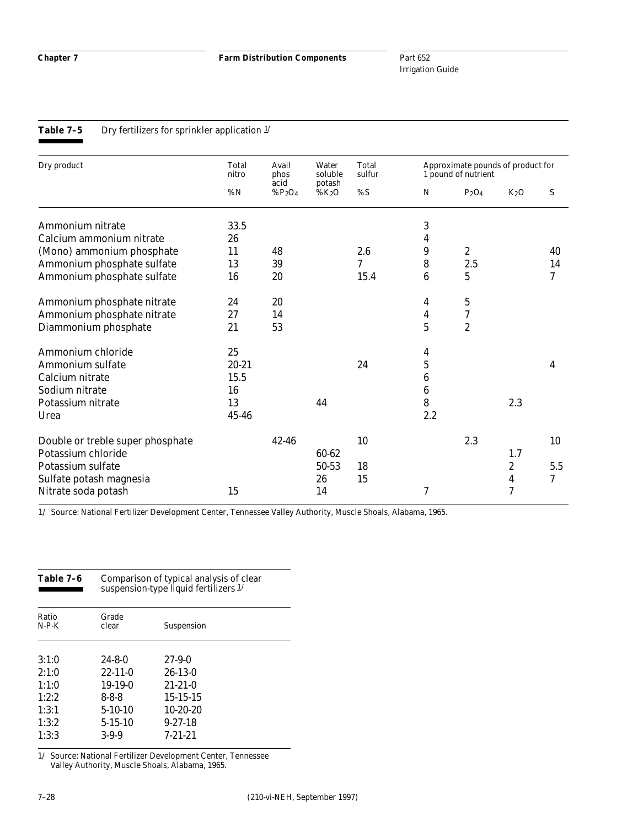**Chapter 7 Farm Distribution Components**

Part 652 Irrigation Guide

#### **Table 7-5** Dry fertilizers for sprinkler application  $\frac{1}{l}$

| Dry product                      | Total<br>nitro | Avail<br>phos      | Water<br>soluble   | Total<br>sulfur |                          | Approximate pounds of product for<br>1 pound of nutrient |                          |     |  |  |
|----------------------------------|----------------|--------------------|--------------------|-----------------|--------------------------|----------------------------------------------------------|--------------------------|-----|--|--|
|                                  | %N             | acid<br>% $P_2O_4$ | potash<br>% $K_2O$ | % S             | N                        | $P_2O_4$                                                 | $K_2O$                   | S   |  |  |
| Ammonium nitrate                 | 33.5           |                    |                    |                 | 3                        |                                                          |                          |     |  |  |
| Calcium ammonium nitrate         | 26             |                    |                    |                 | 4                        |                                                          |                          |     |  |  |
| (Mono) ammonium phosphate        | 11             | 48                 |                    | 2.6             | 9                        | $\boldsymbol{2}$                                         |                          | 40  |  |  |
| Ammonium phosphate sulfate       | 13             | 39                 |                    | 7               | 8                        | 2.5                                                      |                          | 14  |  |  |
| Ammonium phosphate sulfate       | 16             | 20                 |                    | 15.4            | 6                        | 5                                                        |                          | 7   |  |  |
| Ammonium phosphate nitrate       | 24             | 20                 |                    |                 | 4                        | $\bf 5$                                                  |                          |     |  |  |
| Ammonium phosphate nitrate       | 27             | 14                 |                    |                 | 4                        | $\boldsymbol{7}$                                         |                          |     |  |  |
| Diammonium phosphate             | 21             | 53                 |                    |                 | $\mathbf 5$              | $\boldsymbol{2}$                                         |                          |     |  |  |
| Ammonium chloride                | 25             |                    |                    |                 | 4                        |                                                          |                          |     |  |  |
| Ammonium sulfate                 | $20 - 21$      |                    |                    | 24              | $\mathbf 5$              |                                                          |                          | 4   |  |  |
| Calcium nitrate                  | 15.5           |                    |                    |                 | 6                        |                                                          |                          |     |  |  |
| Sodium nitrate                   | 16             |                    |                    |                 | $\boldsymbol{6}$         |                                                          |                          |     |  |  |
| Potassium nitrate                | 13             |                    | 44                 |                 | 8                        |                                                          | 2.3                      |     |  |  |
| Urea                             | 45-46          |                    |                    |                 | 2.2                      |                                                          |                          |     |  |  |
| Double or treble super phosphate |                | $42 - 46$          |                    | 10              |                          | 2.3                                                      |                          | 10  |  |  |
| Potassium chloride               |                |                    | 60-62              |                 |                          |                                                          | 1.7                      |     |  |  |
| Potassium sulfate                |                |                    | 50-53              | 18              |                          |                                                          | $\boldsymbol{2}$         | 5.5 |  |  |
| Sulfate potash magnesia          |                |                    | 26                 | 15              |                          |                                                          | 4                        | 7   |  |  |
| Nitrate soda potash              | 15             |                    | 14                 |                 | $\overline{\mathcal{U}}$ |                                                          | $\overline{\mathcal{U}}$ |     |  |  |

1/ Source: National Fertilizer Development Center, Tennessee Valley Authority, Muscle Shoals, Alabama, 1965.

| Table 7-6        | Comparison of typical analysis of clear<br>suspension-type liquid fertilizers $1/$ |                |  |  |  |  |
|------------------|------------------------------------------------------------------------------------|----------------|--|--|--|--|
| Ratio<br>$N-P-K$ | Grade<br>clear                                                                     | Suspension     |  |  |  |  |
| 3:1:0            | $24 - 8 - 0$                                                                       | $27-9-0$       |  |  |  |  |
| 2:1:0            | $22 - 11 - 0$                                                                      | $26-13-0$      |  |  |  |  |
| 1:1:0            | $19-19-0$                                                                          | $21 - 21 - 0$  |  |  |  |  |
| 1.2.2            | 8-8-8                                                                              | $15 - 15 - 15$ |  |  |  |  |
| 1:3:1            | $5-10-10$                                                                          | $10-20-20$     |  |  |  |  |
| 1:3:2            | $5 - 15 - 10$                                                                      | $9 - 27 - 18$  |  |  |  |  |
| 1:3:3            | $3-9-9$                                                                            | $7 - 21 - 21$  |  |  |  |  |

1/ Source: National Fertilizer Development Center, Tennessee Valley Authority, Muscle Shoals, Alabama, 1965.